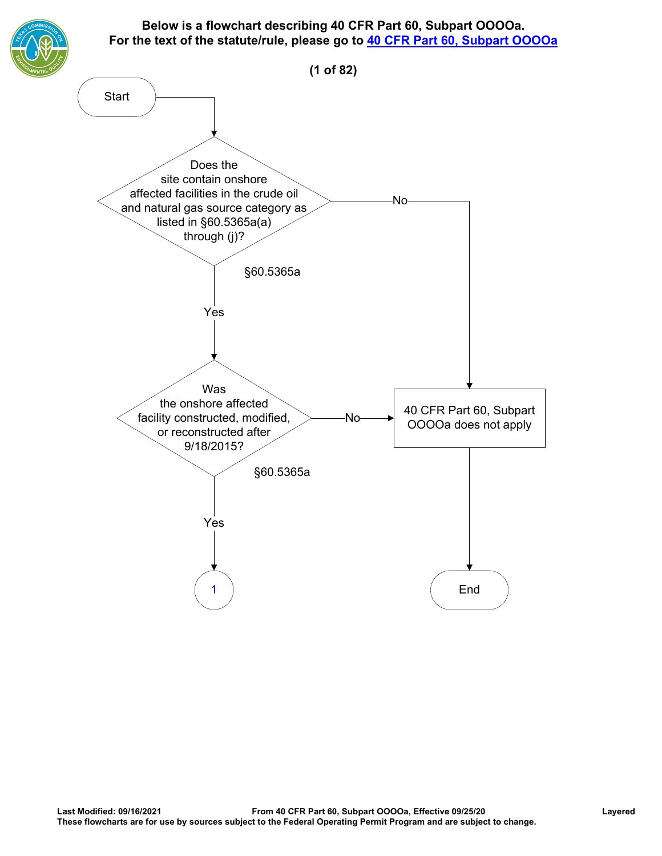## **Below is a flowchart describing 40 CFR Part 60, Subpart OOOOa.**

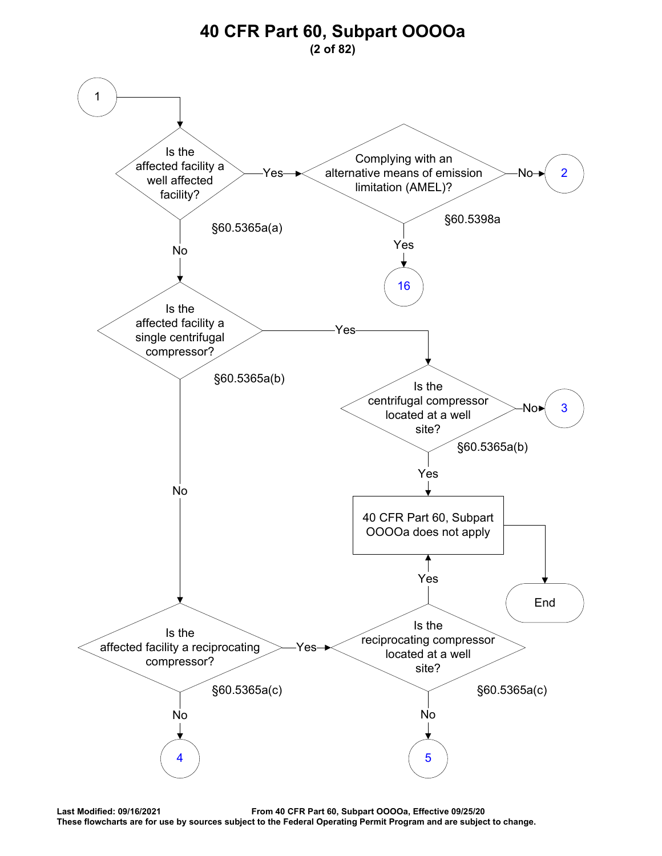<span id="page-1-0"></span>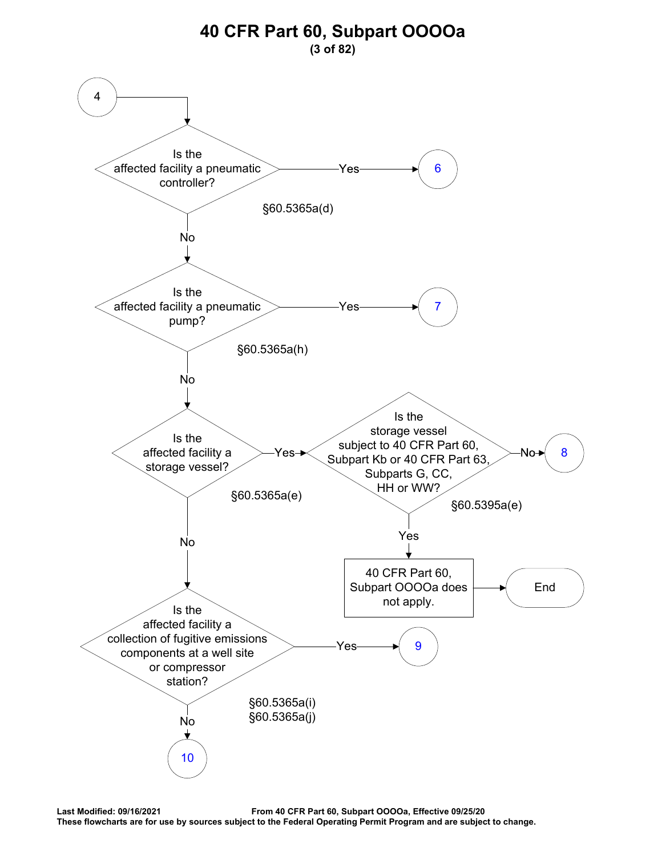<span id="page-2-0"></span>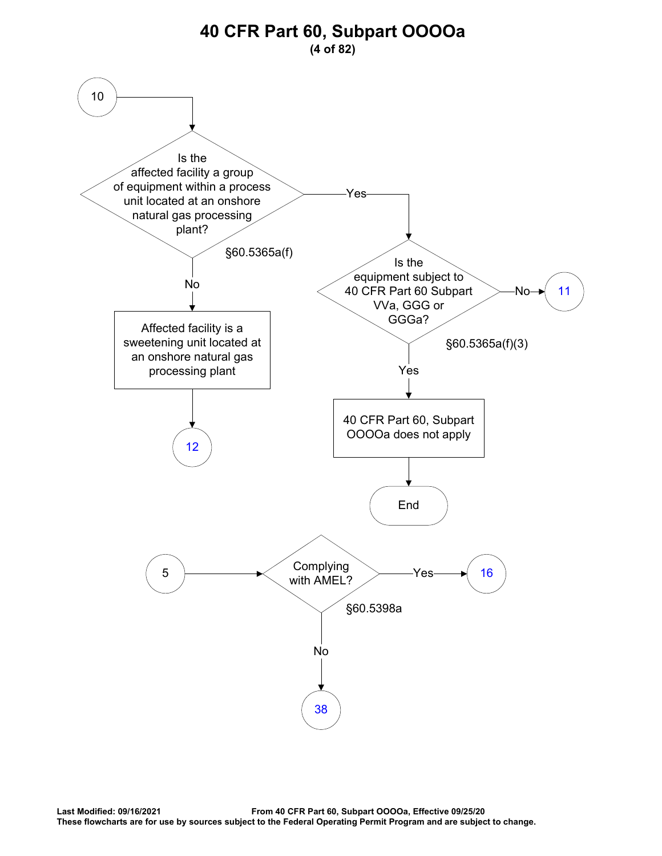#### **40 CFR Part 60, Subpart OOOOa (4 of 82)**

<span id="page-3-0"></span>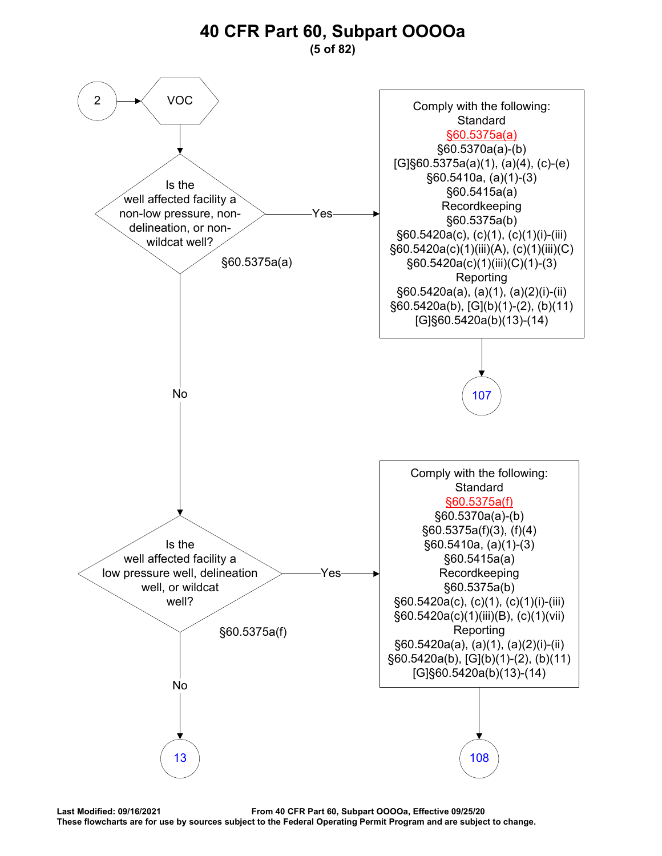**(5 of 82)**

<span id="page-4-0"></span>

**Last Modified: 09/16/2021 From 40 CFR Part 60, Subpart OOOOa, Effective 09/25/20 These flowcharts are for use by sources subject to the Federal Operating Permit Program and are subject to change.**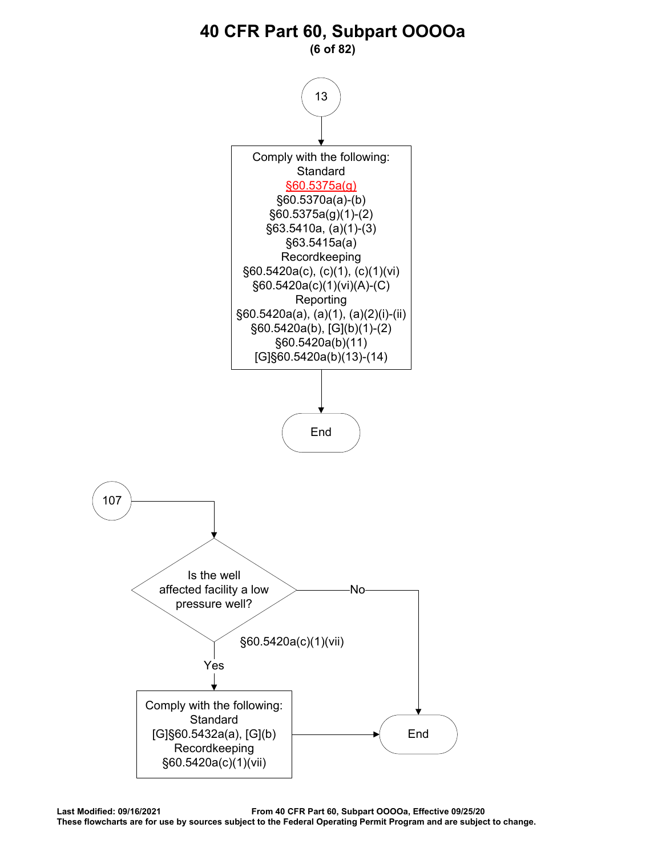<span id="page-5-0"></span>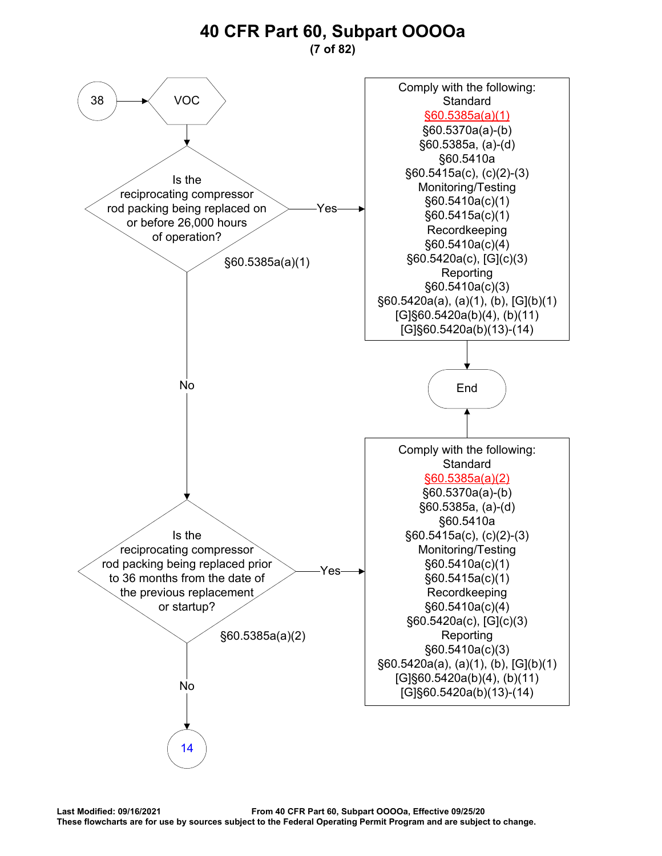**(7 of 82)**

<span id="page-6-0"></span>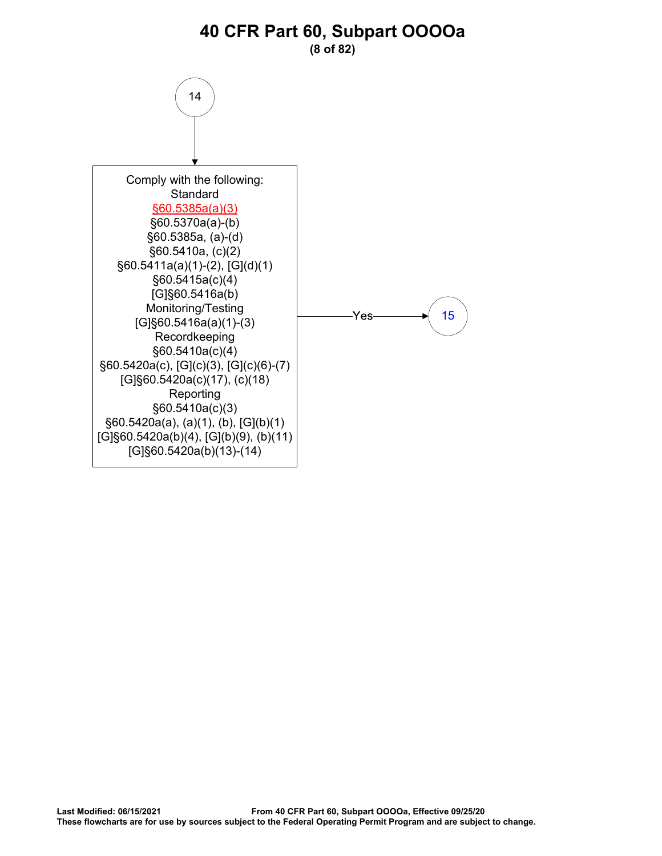#### **40 CFR Part 60, Subpart OOOOa (8 of 82)**

<span id="page-7-0"></span>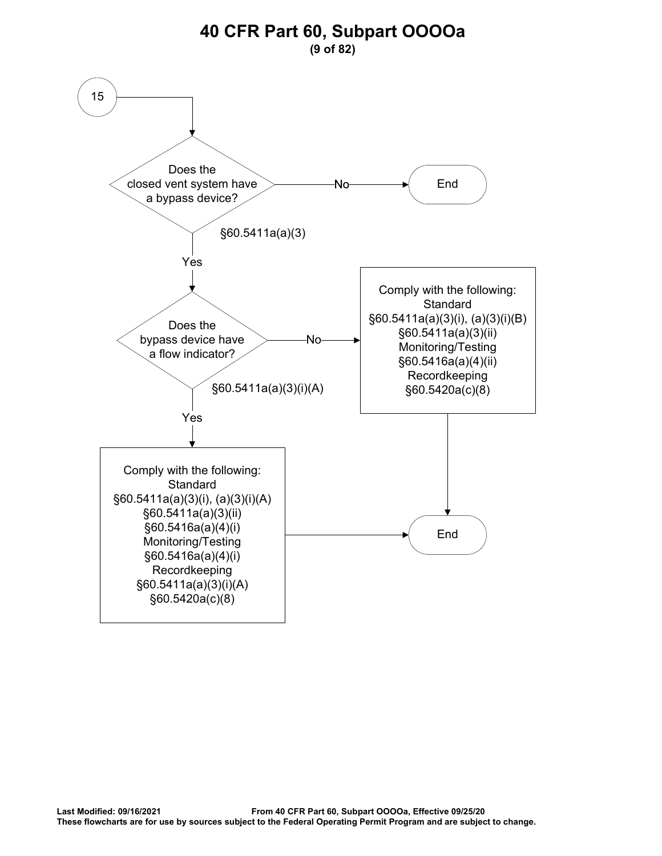#### **40 CFR Part 60, Subpart OOOOa (9 of 82)**

<span id="page-8-0"></span>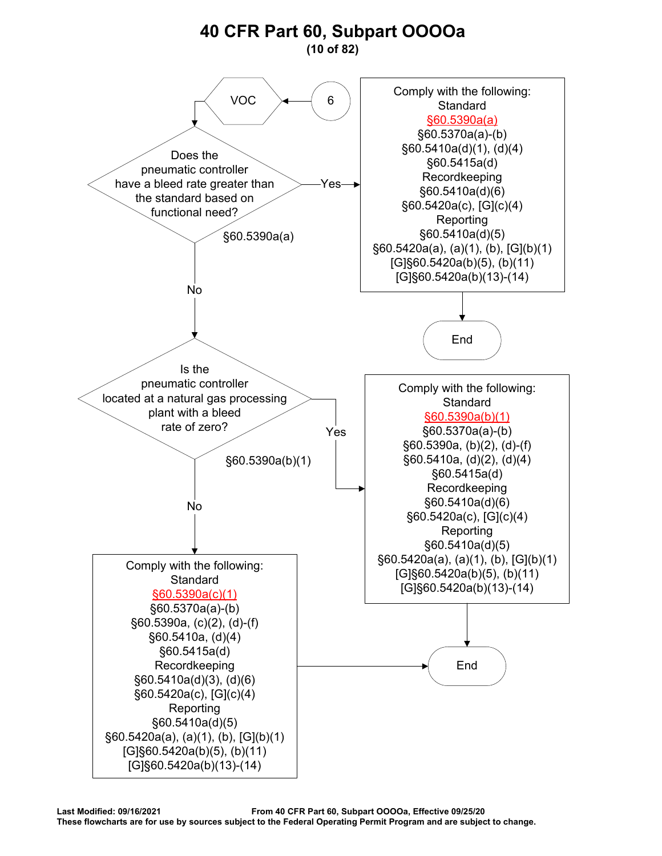**(10 of 82)**

<span id="page-9-0"></span>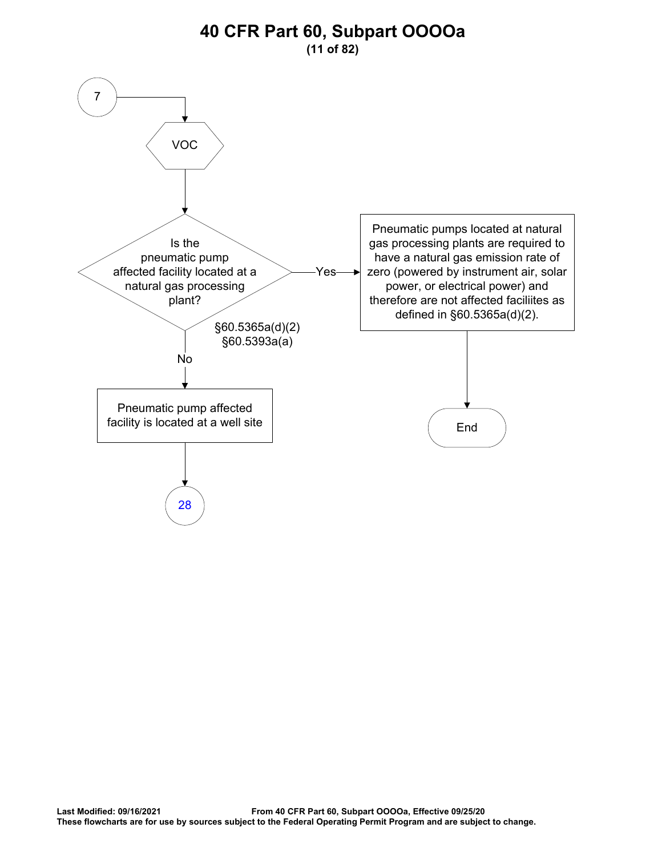**(11 of 82)**

<span id="page-10-0"></span>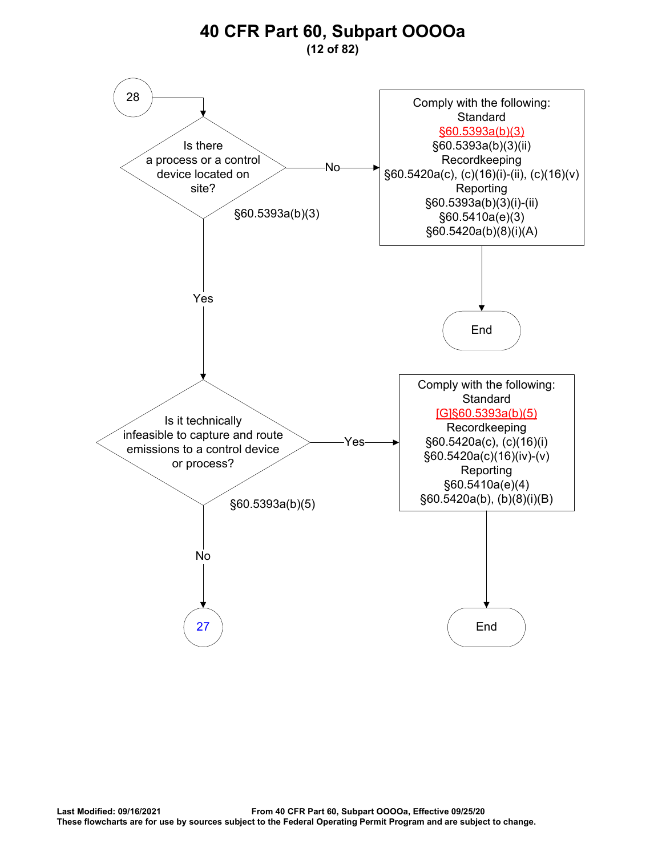#### **40 CFR Part 60, Subpart OOOOa (12 of 82)**

<span id="page-11-0"></span>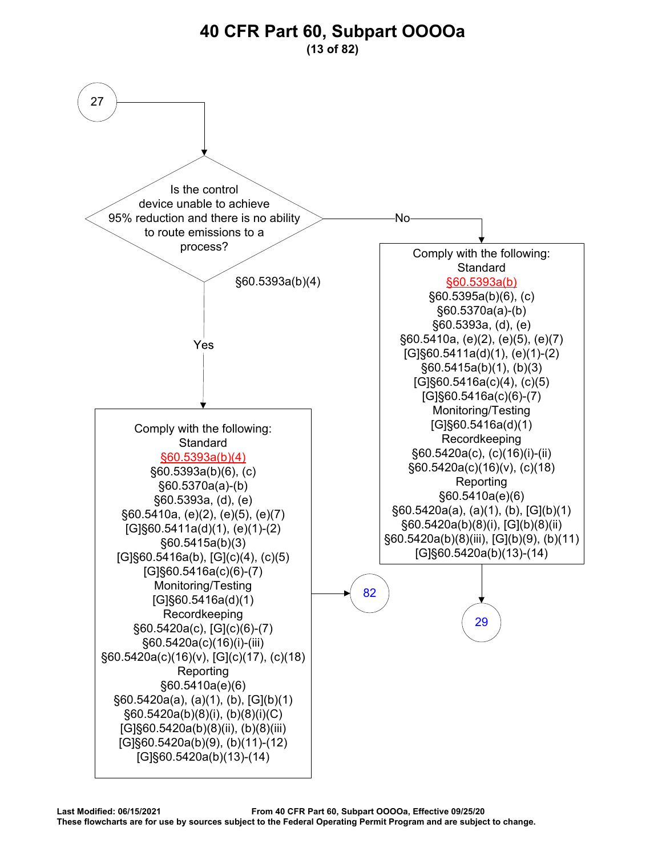**(13 of 82)**

<span id="page-12-0"></span>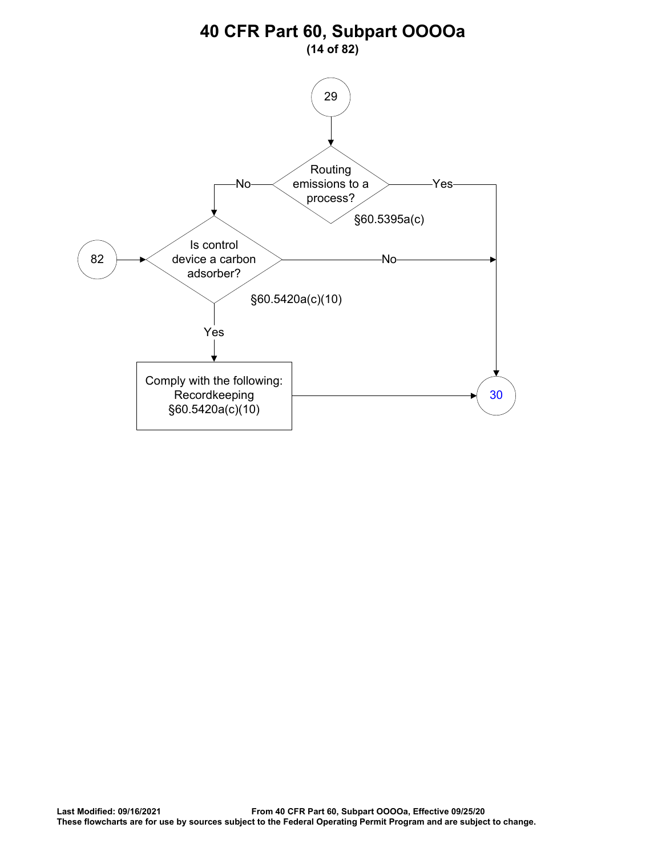<span id="page-13-0"></span>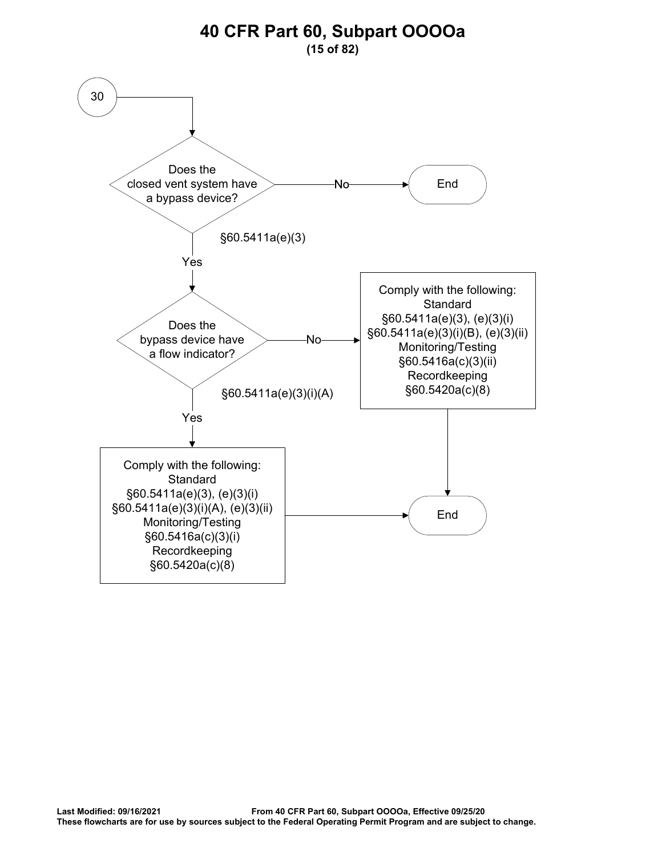#### **40 CFR Part 60, Subpart OOOOa (15 of 82)**

<span id="page-14-0"></span>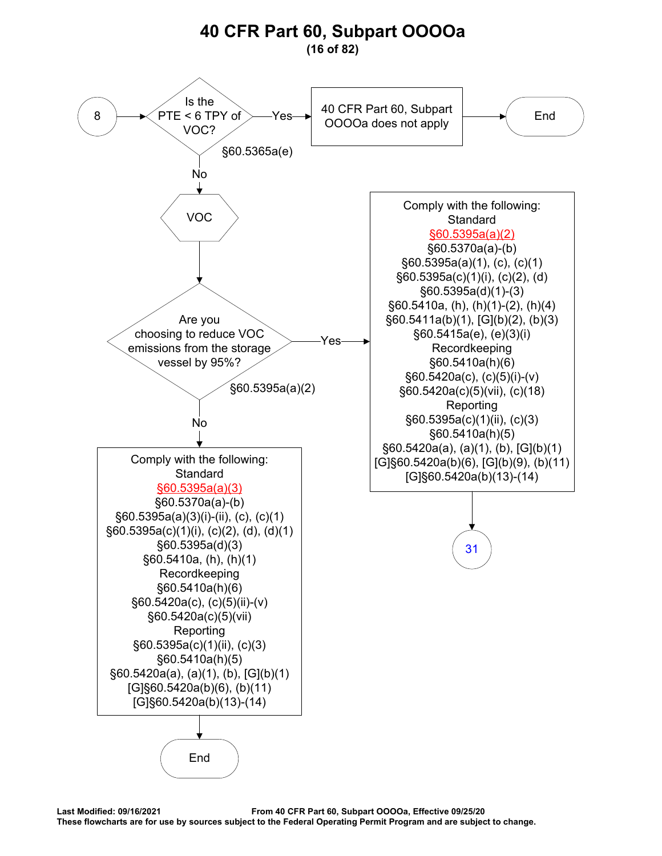#### **40 CFR Part 60, Subpart OOOOa (16 of 82)**

<span id="page-15-0"></span>

**Last Modified: 09/16/2021 From 40 CFR Part 60, Subpart OOOOa, Effective 09/25/20 These flowcharts are for use by sources subject to the Federal Operating Permit Program and are subject to change.**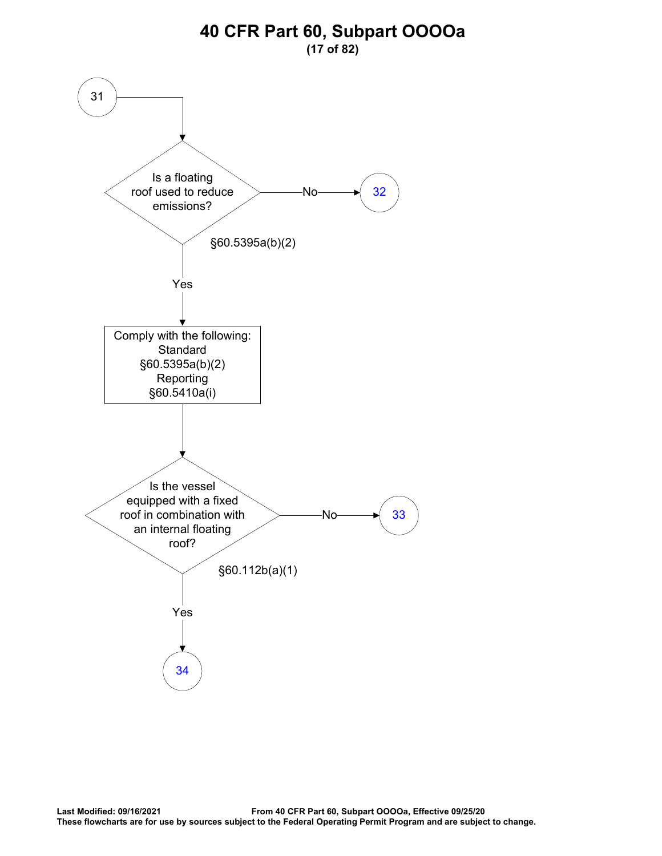#### **40 CFR Part 60, Subpart OOOOa (17 of 82)**

<span id="page-16-0"></span>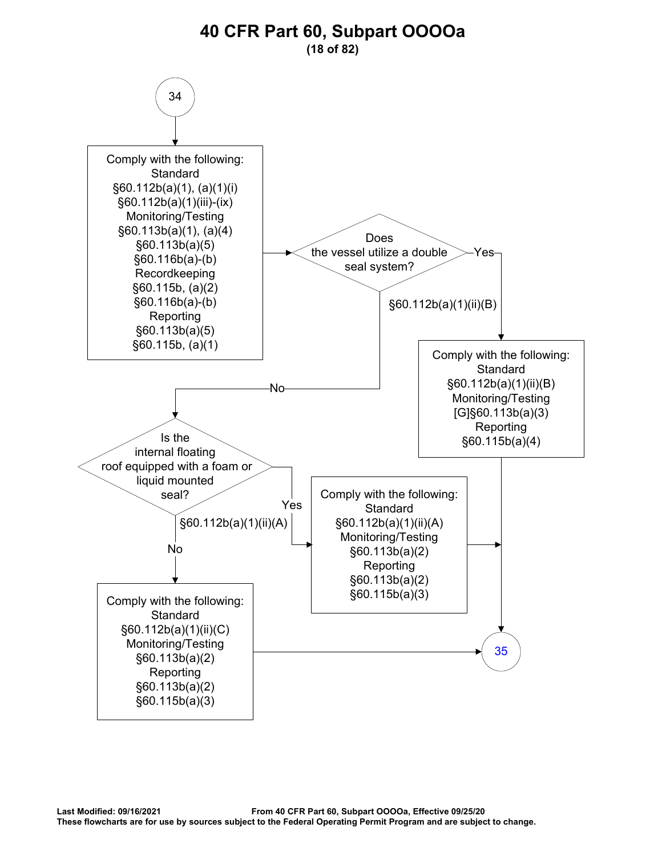**(18 of 82)**

<span id="page-17-0"></span>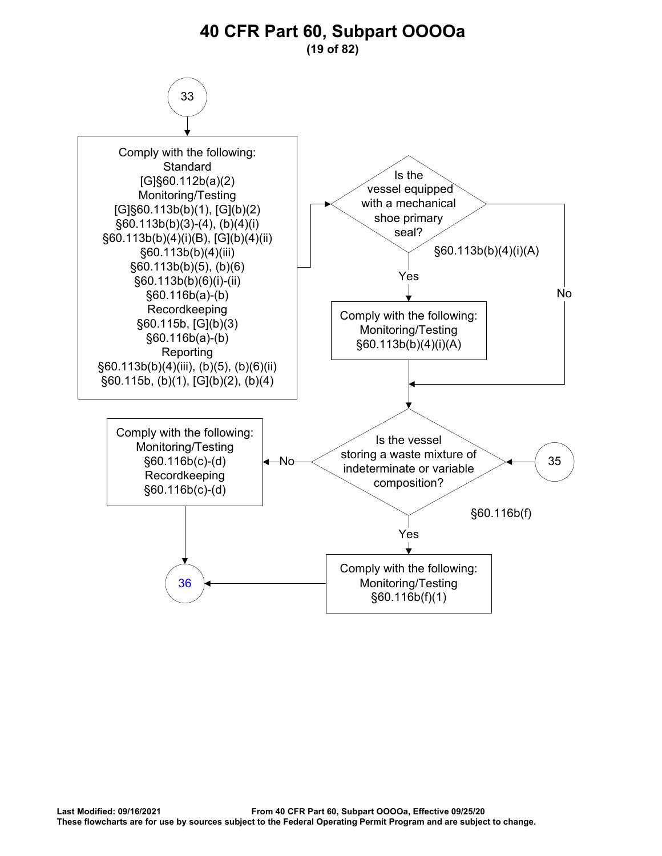**(19 of 82)**

<span id="page-18-0"></span>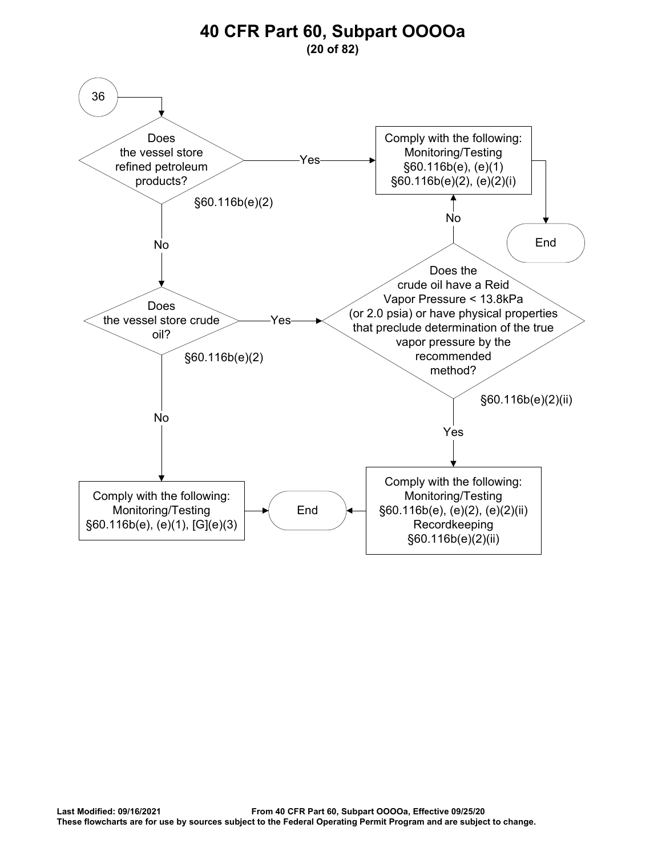<span id="page-19-0"></span>

#### **40 CFR Part 60, Subpart OOOOa (20 of 82)**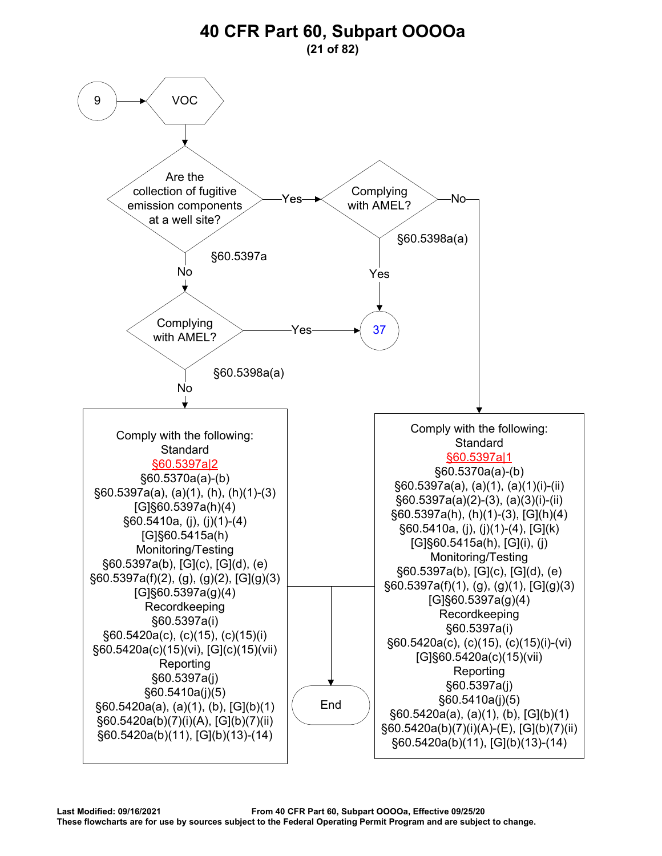#### **40 CFR Part 60, Subpart OOOOa (21 of 82)**

<span id="page-20-0"></span>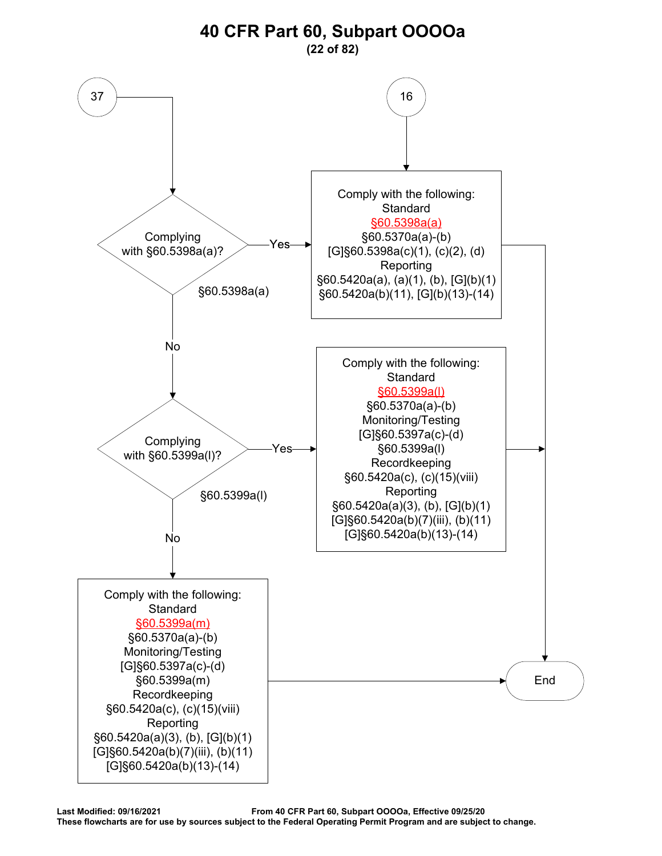#### **40 CFR Part 60, Subpart OOOOa (22 of 82)**

<span id="page-21-0"></span>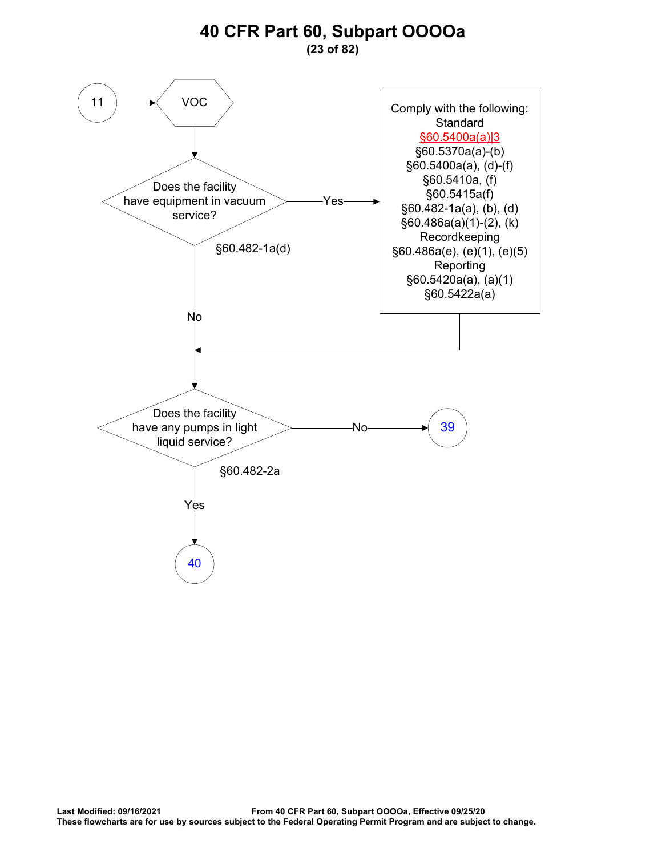**(23 of 82)**

<span id="page-22-0"></span>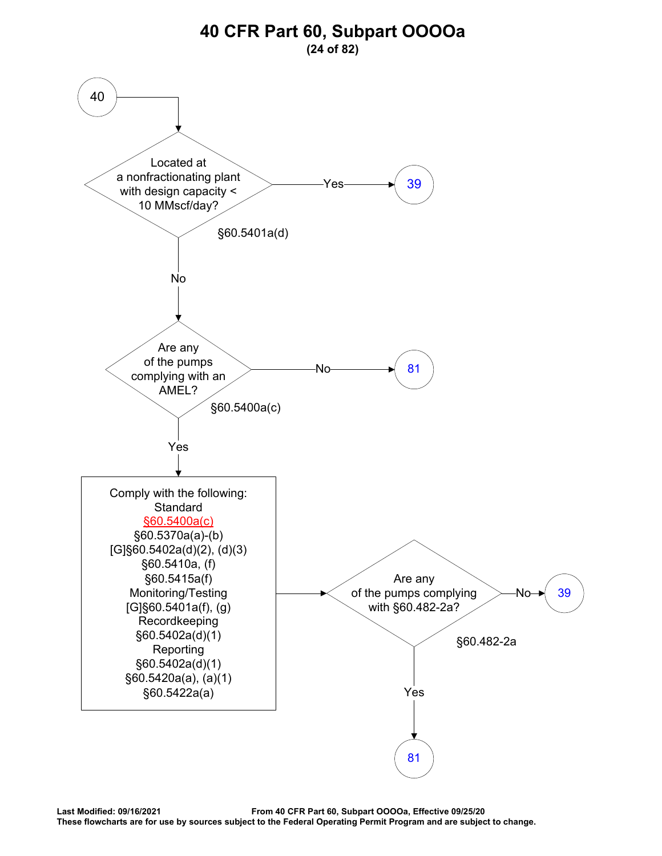#### **40 CFR Part 60, Subpart OOOOa (24 of 82)**

<span id="page-23-0"></span>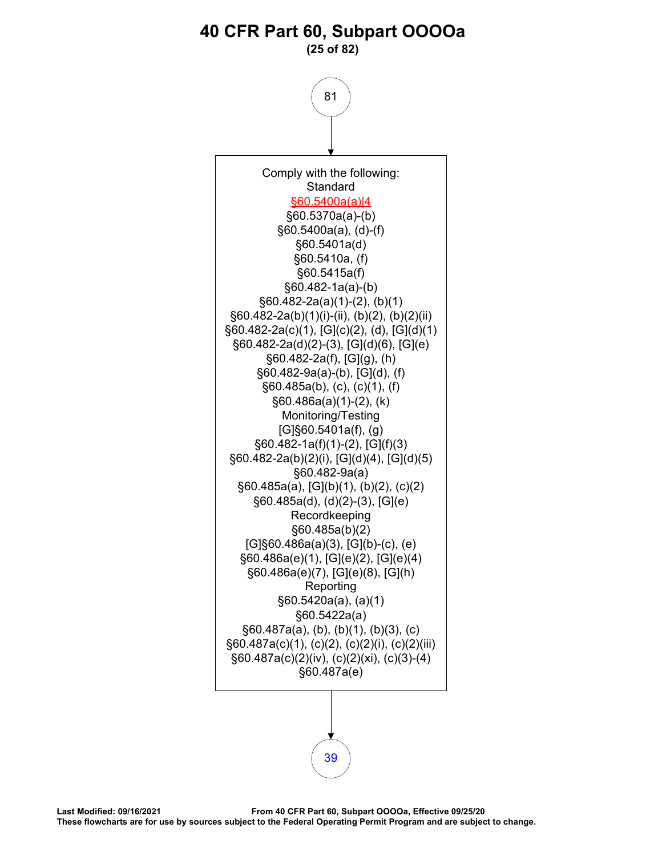**(25 of 82)**

<span id="page-24-0"></span>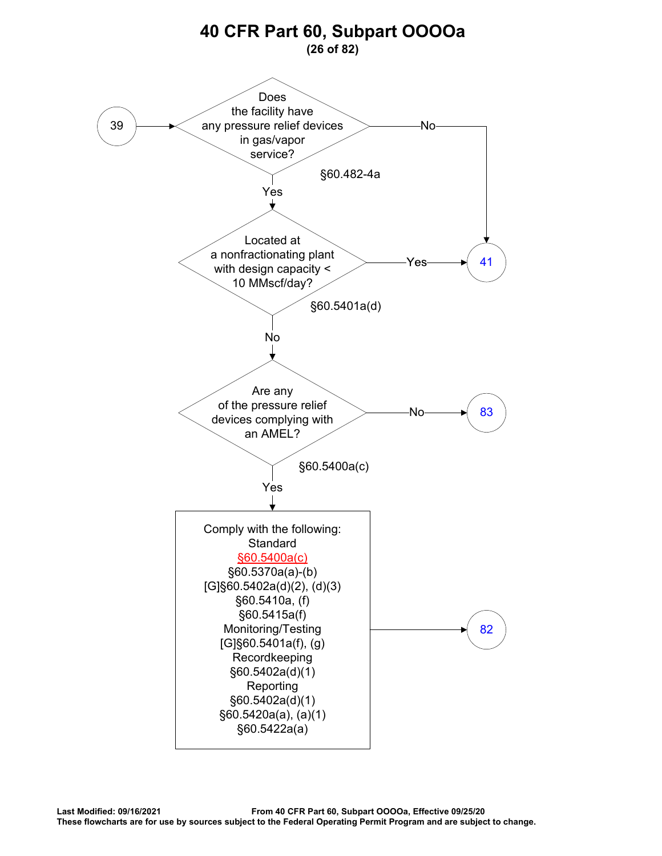<span id="page-25-0"></span>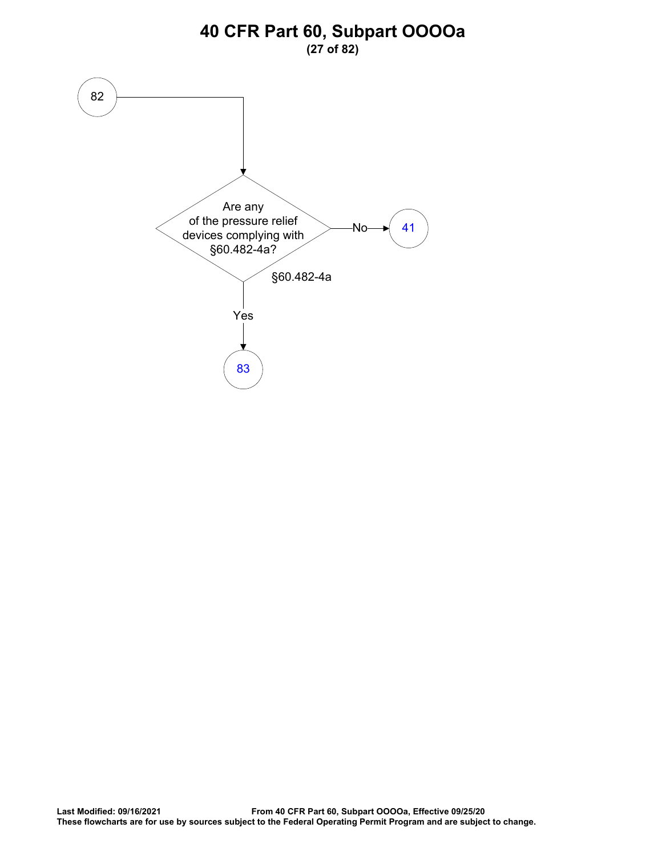#### **40 CFR Part 60, Subpart OOOOa (27 of 82)**

<span id="page-26-0"></span>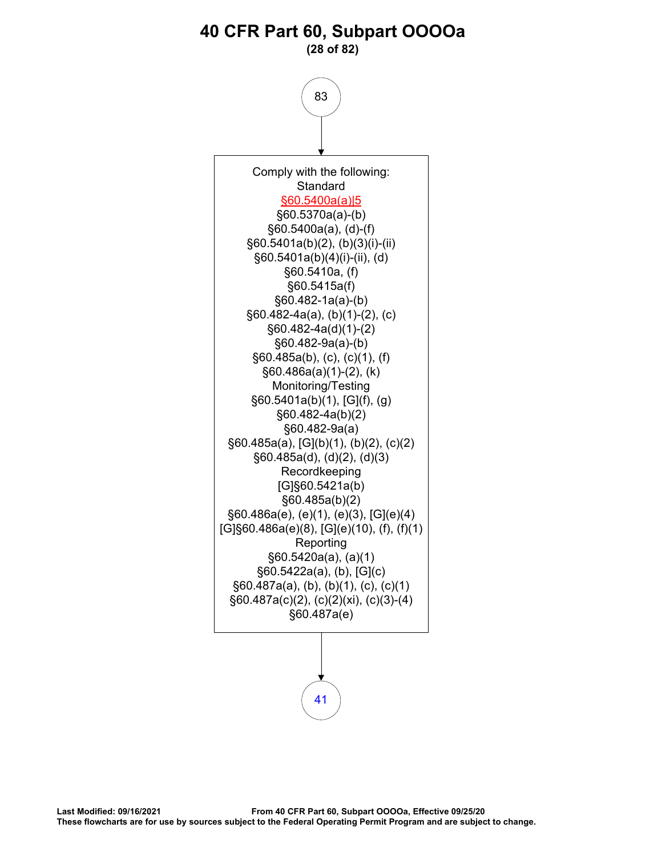**(28 of 82)**

<span id="page-27-0"></span>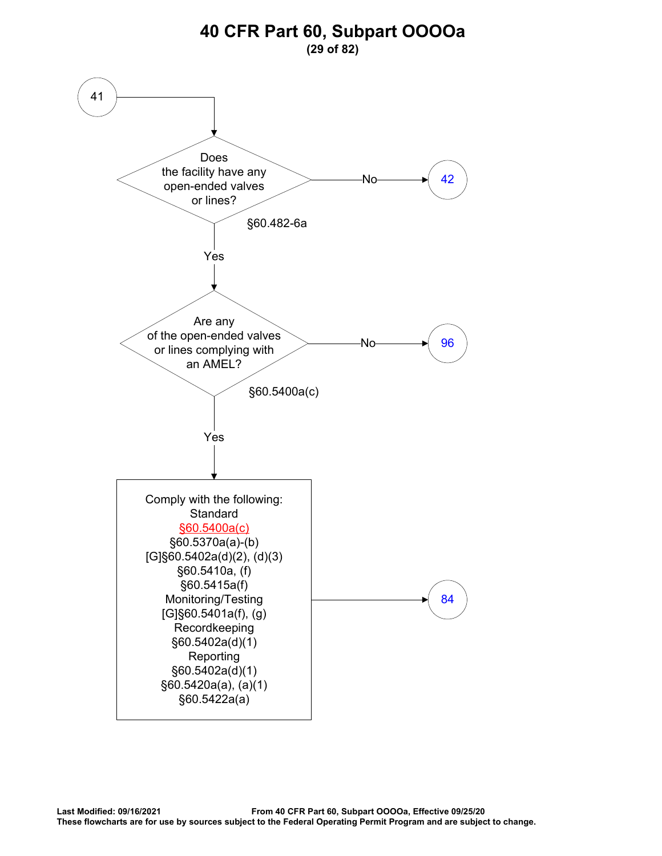### <span id="page-28-0"></span>**40 CFR Part 60, Subpart OOOOa (29 of 82)** 41 Does the facility have any open-ended valves or lines? [42](#page-30-0) §60.482-6a Are any of the open-ended valves or lines complying with an AMEL? Comply with the following: **Standard** [§60.5400a\(c\)](https://www.tceq.texas.gov/downloads/permitting/air-rules/federal/40-cfr-60/subpart-ooooa/r60ooooa.pdf#page=21) §60.5370a(a)-(b) [G]§60.5402a(d)(2), (d)(3) §60.5410a, (f) §60.5415a(f) Monitoring/Testing [G]§60.5401a(f), (g) Recordkeeping §60.5402a(d)(1) Reporting §60.5402a(d)(1) §60.5420a(a), (a)(1) §60.5422a(a) §60.5400a(c) Yes [84](#page-29-0) Yes No  $N$ o $\longrightarrow$  [96](#page-29-0)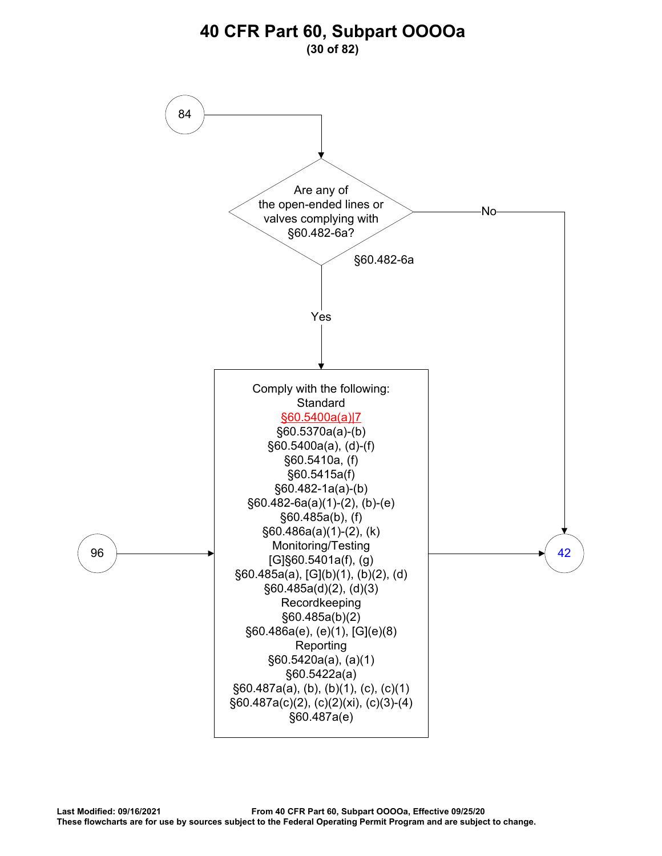**(30 of 82)**

<span id="page-29-0"></span>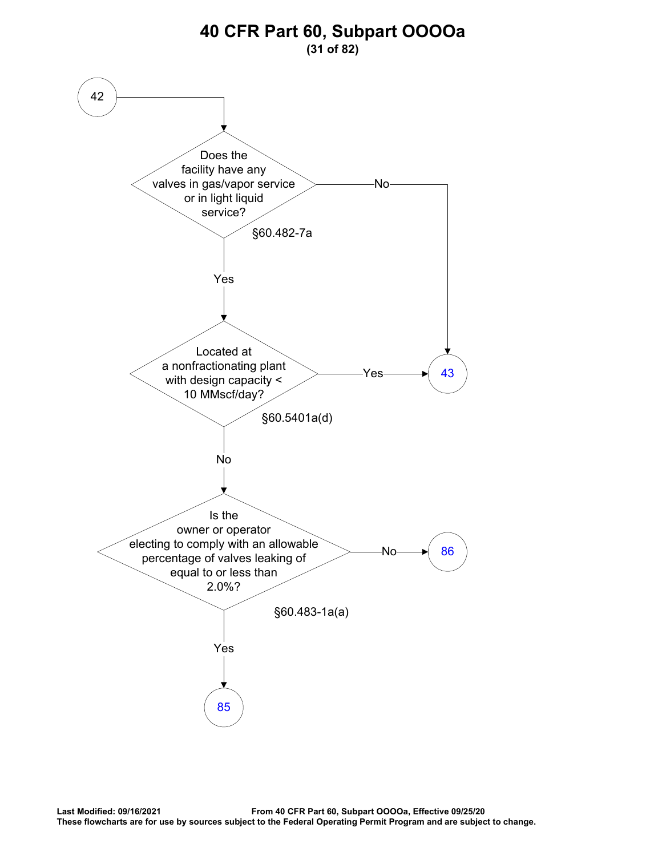#### **40 CFR Part 60, Subpart OOOOa (31 of 82)**

<span id="page-30-0"></span>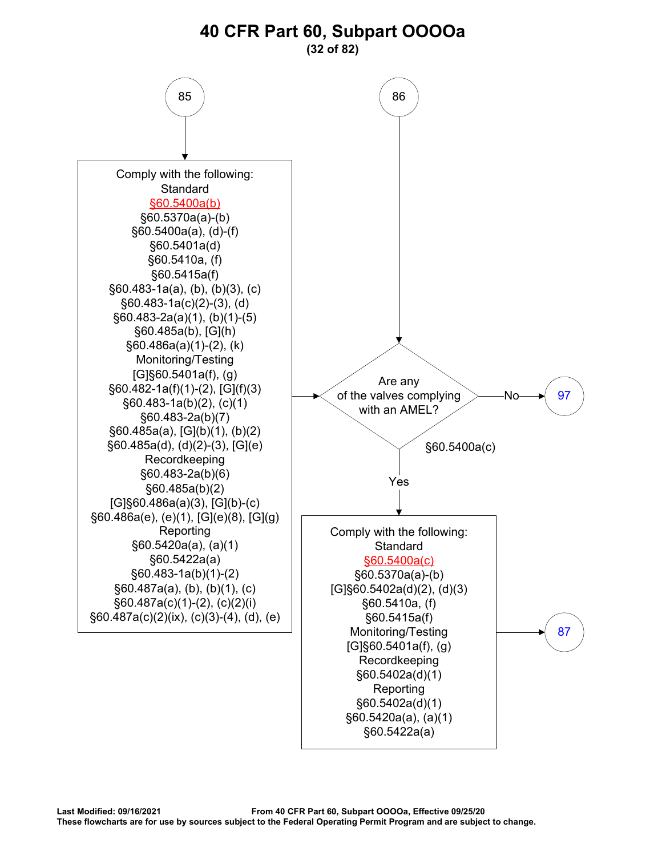<span id="page-31-0"></span>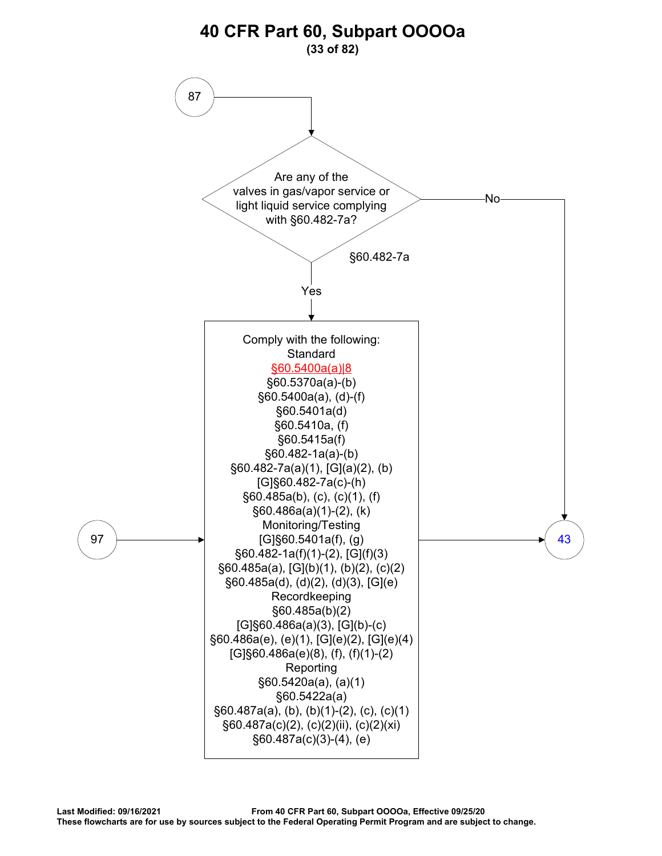<span id="page-32-0"></span>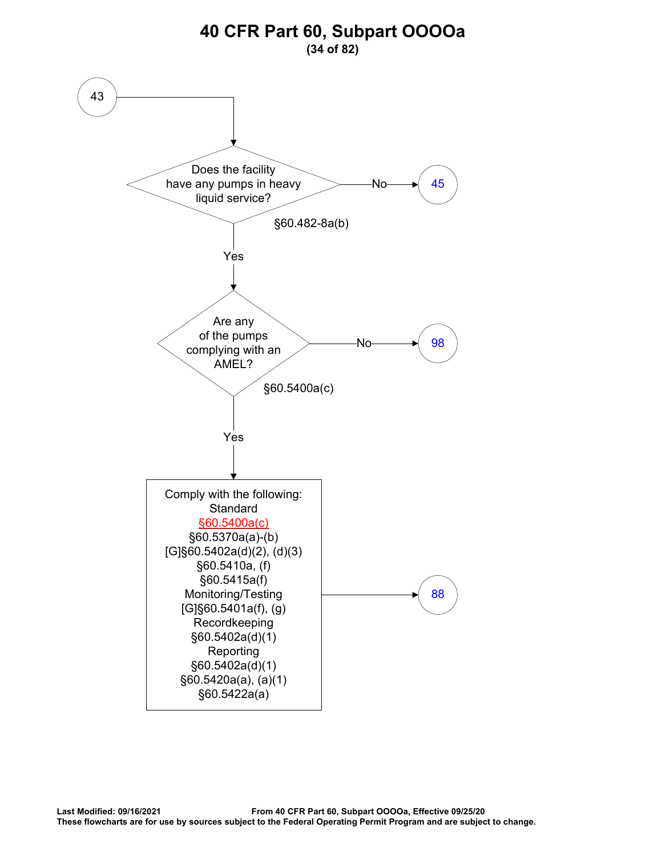#### **40 CFR Part 60, Subpart OOOOa (34 of 82)**

<span id="page-33-0"></span>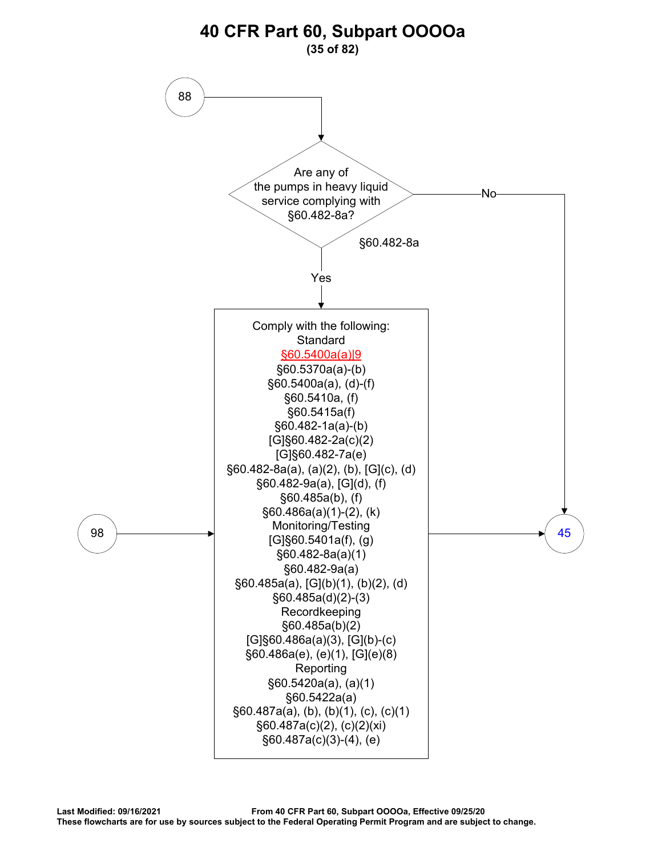<span id="page-34-0"></span>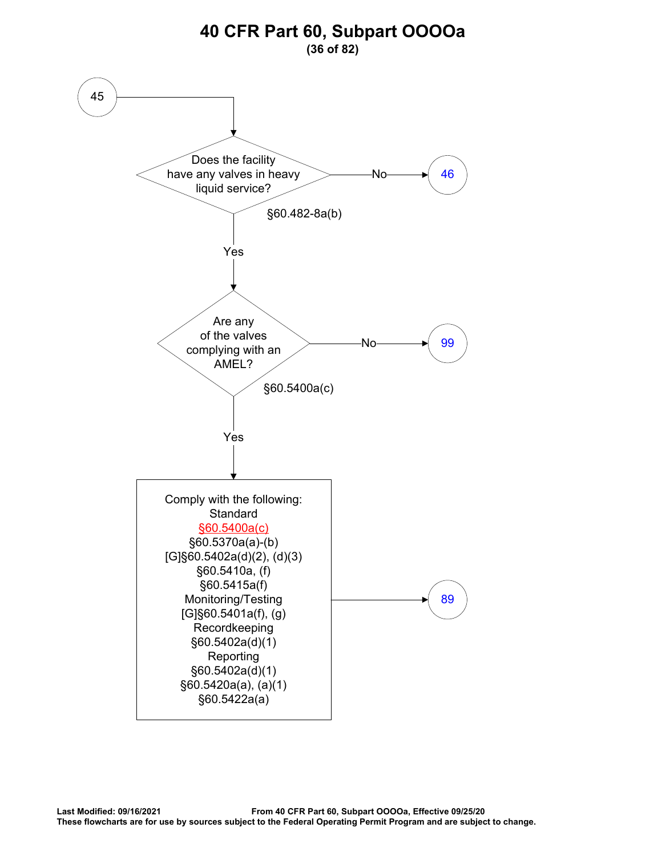#### **40 CFR Part 60, Subpart OOOOa (36 of 82)**

<span id="page-35-0"></span>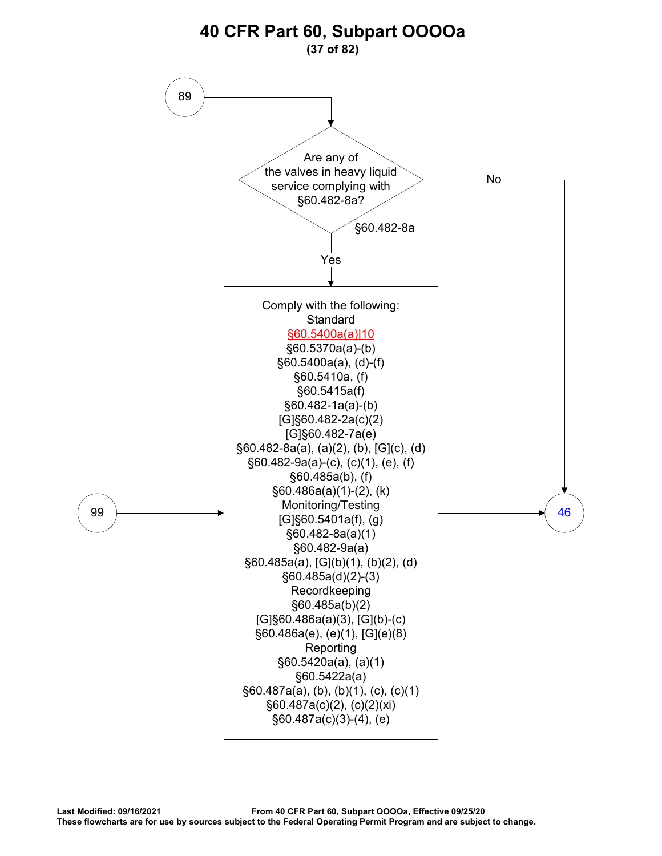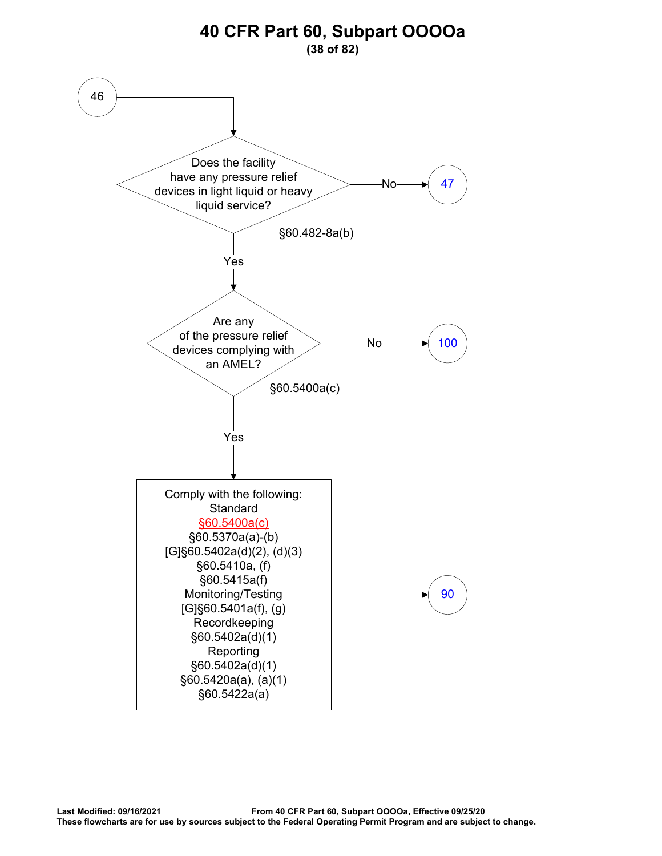### **40 CFR Part 60, Subpart OOOOa (38 of 82)**

<span id="page-37-0"></span>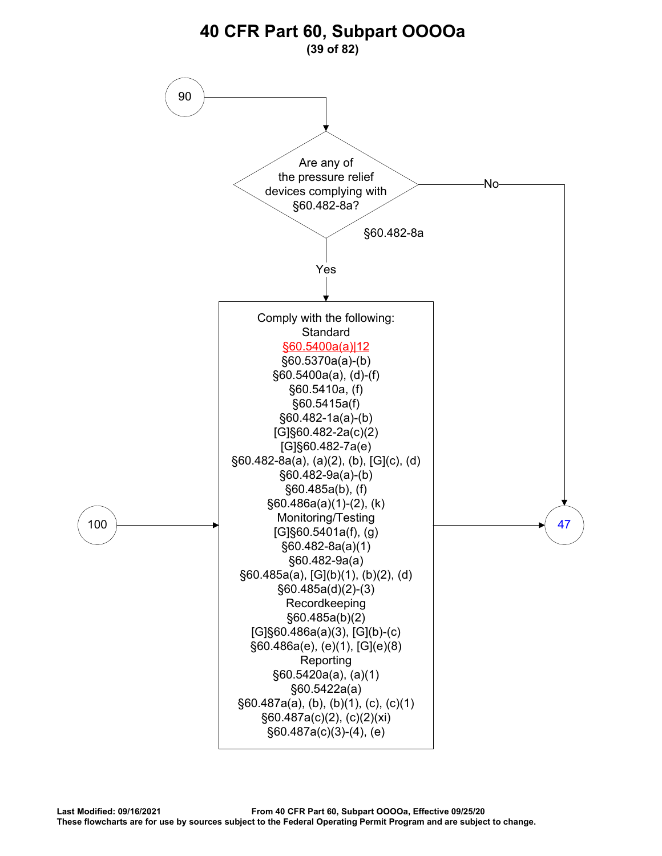<span id="page-38-0"></span>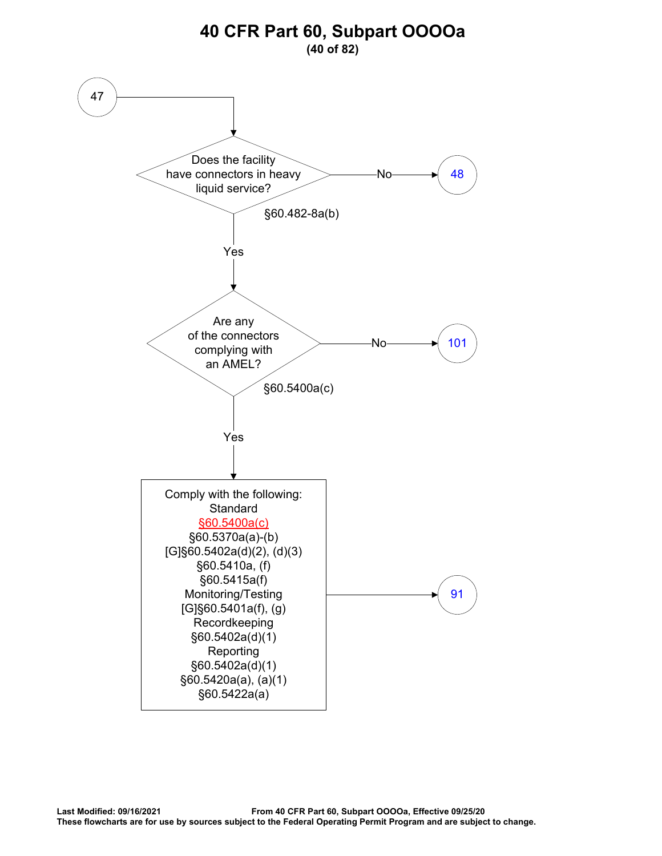### **40 CFR Part 60, Subpart OOOOa (40 of 82)**

<span id="page-39-0"></span>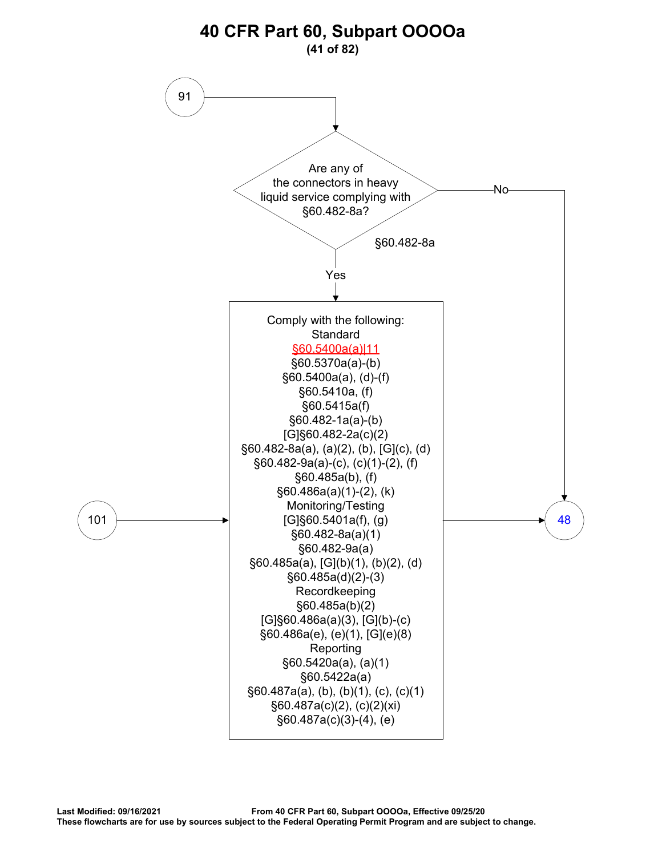<span id="page-40-0"></span>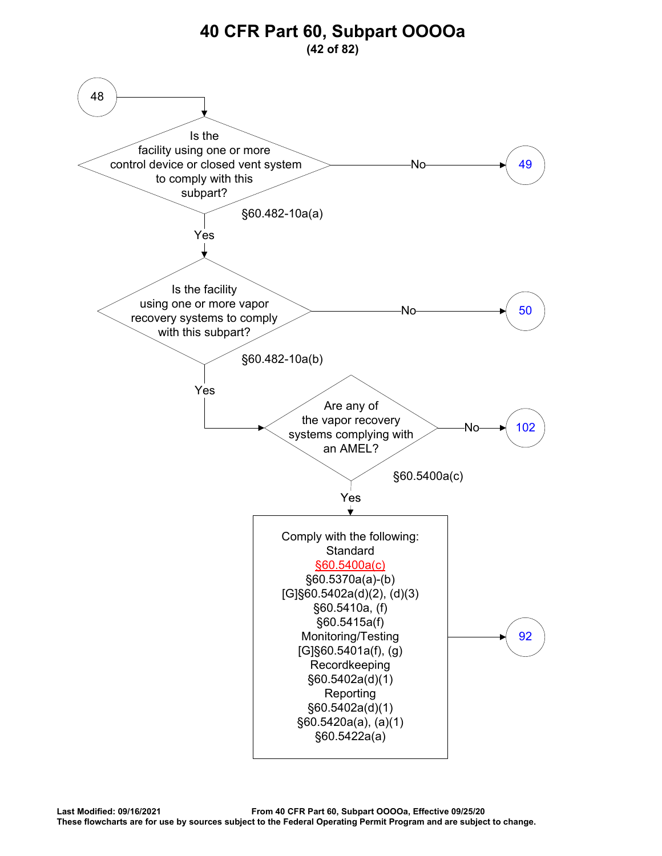<span id="page-41-0"></span>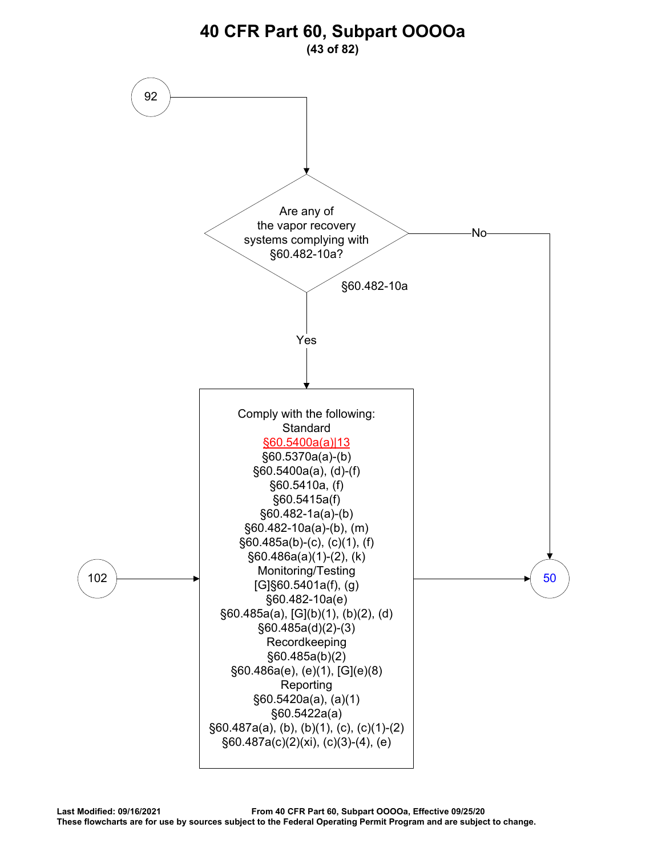<span id="page-42-0"></span>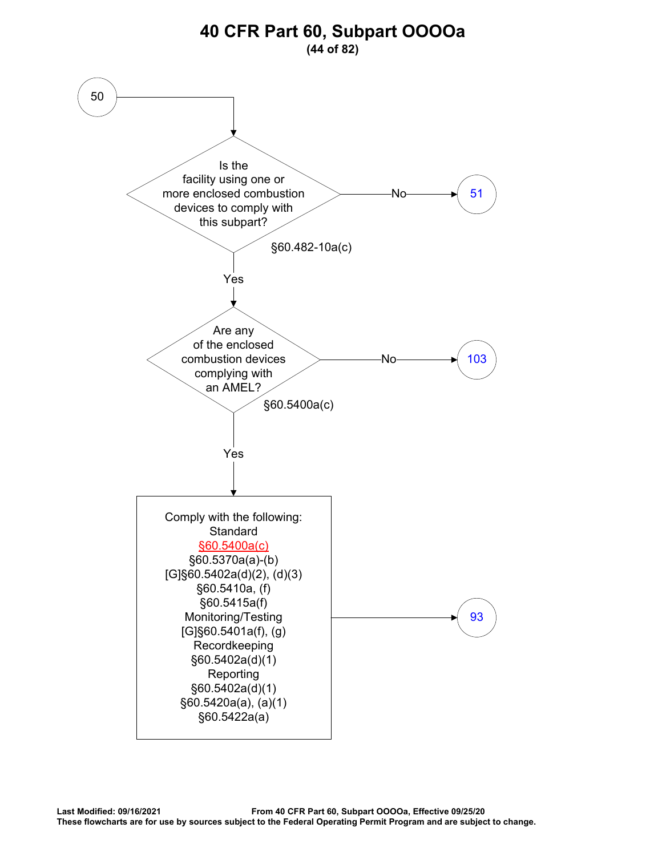#### **40 CFR Part 60, Subpart OOOOa (44 of 82)**

<span id="page-43-0"></span>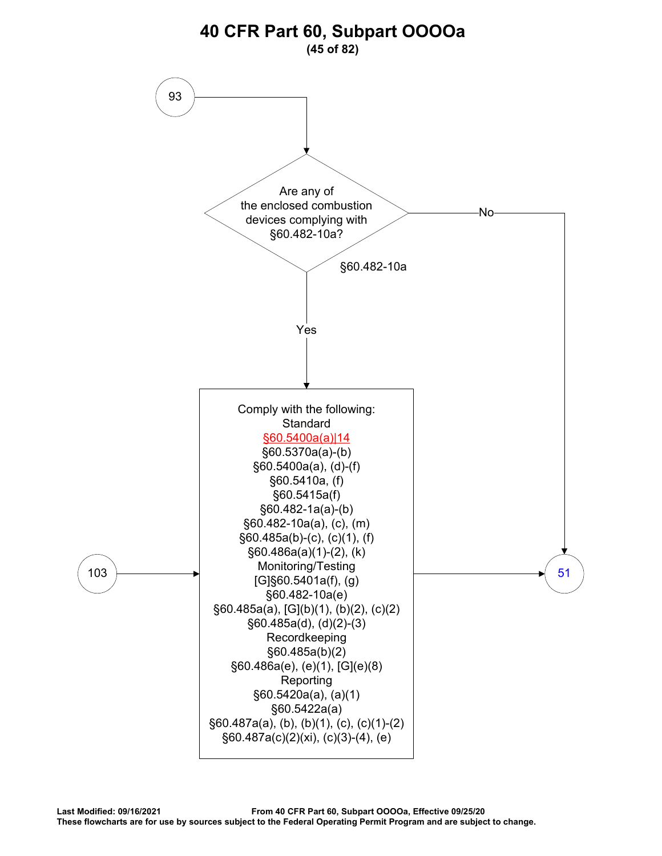<span id="page-44-0"></span>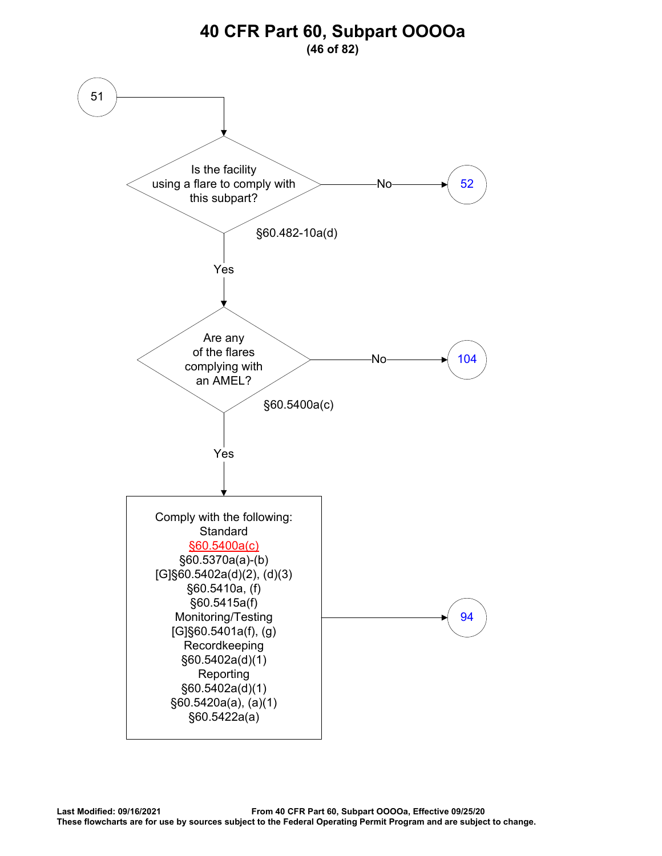# **40 CFR Part 60, Subpart OOOOa (46 of 82)** Is the facility using a flare to comply with this subpart? §60.482-10a(d) [52](#page-47-0) No Yes

<span id="page-45-0"></span>51

Are any of the flares complying with an AMEL? Comply with the following: **Standard** [§60.5400a\(c\)](https://www.tceq.texas.gov/downloads/permitting/air-rules/federal/40-cfr-60/subpart-ooooa/r60ooooa.pdf#page=21) §60.5370a(a)-(b) [G]§60.5402a(d)(2), (d)(3) §60.5410a, (f) §60.5415a(f) Monitoring/Testing [G]§60.5401a(f), (g) Recordkeeping §60.5402a(d)(1) **Reporting** §60.5402a(d)(1) §60.5420a(a), (a)(1) §60.5422a(a) §60.5400a(c) Yes [94](#page-46-0)  $-$ No $\rightarrow$  [104](#page-46-0)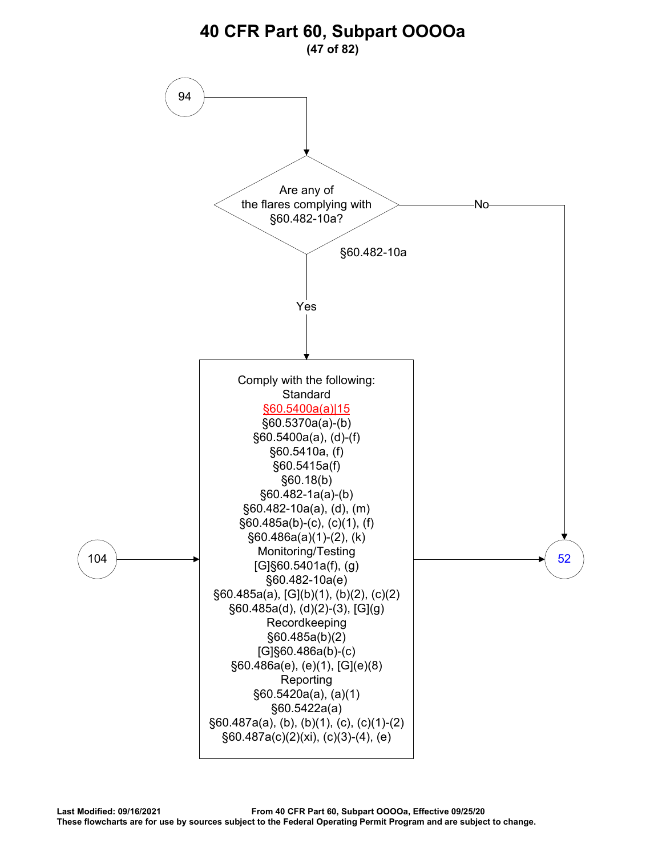<span id="page-46-0"></span>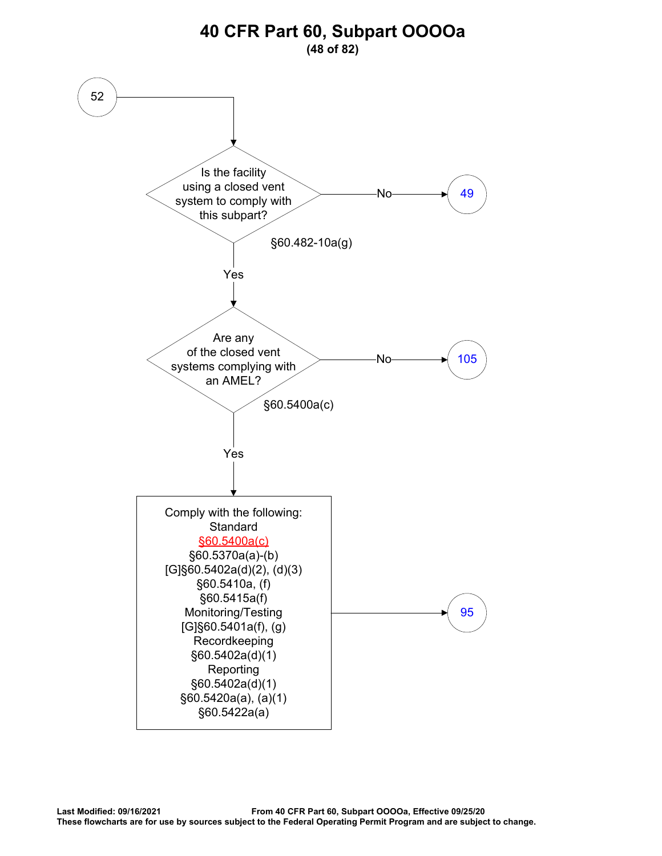**(48 of 82)**

<span id="page-47-0"></span>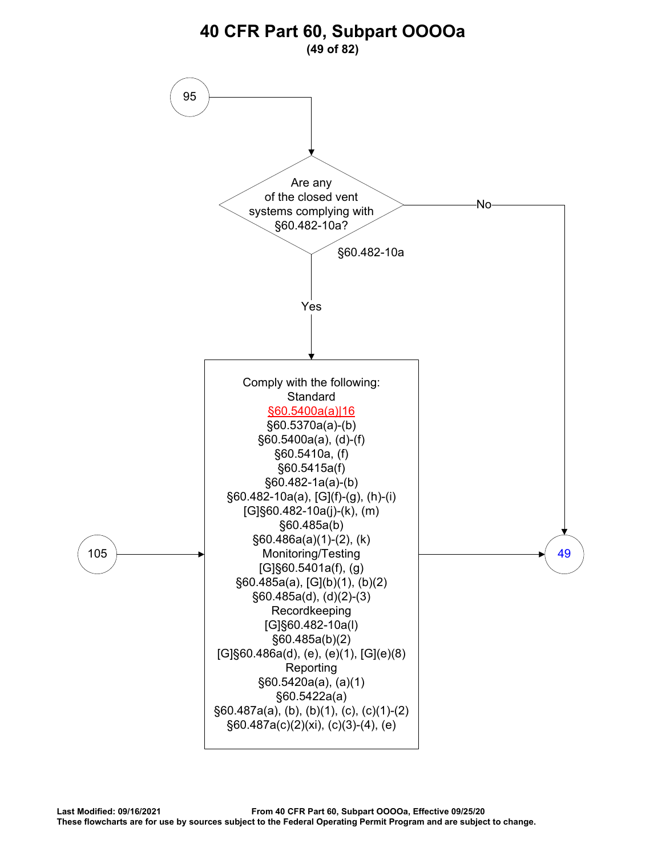<span id="page-48-0"></span>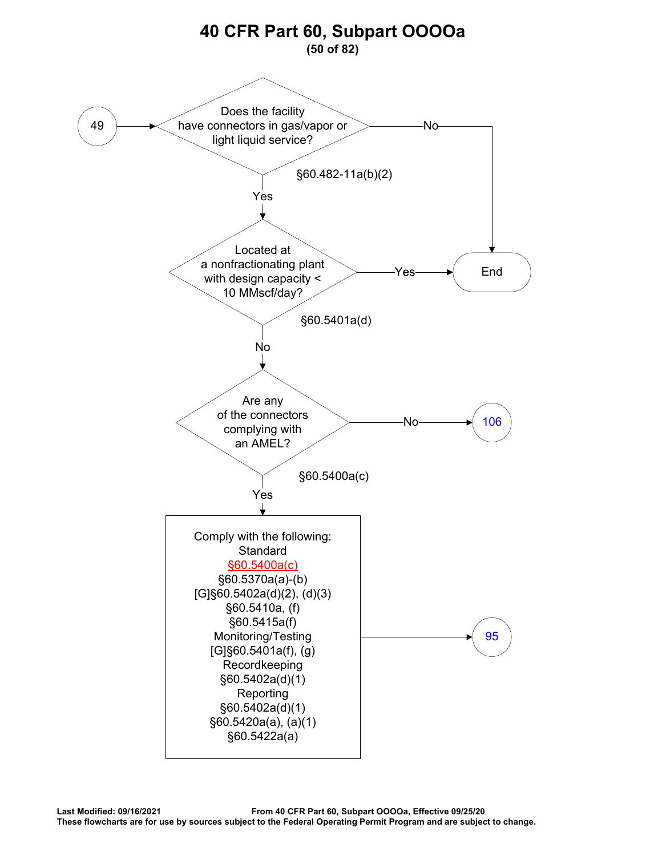<span id="page-49-0"></span>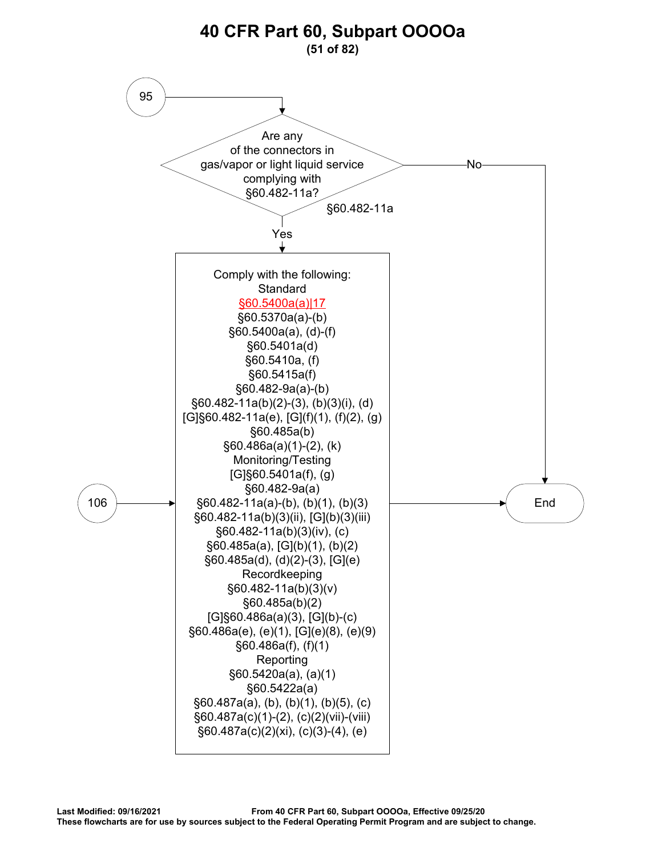<span id="page-50-0"></span>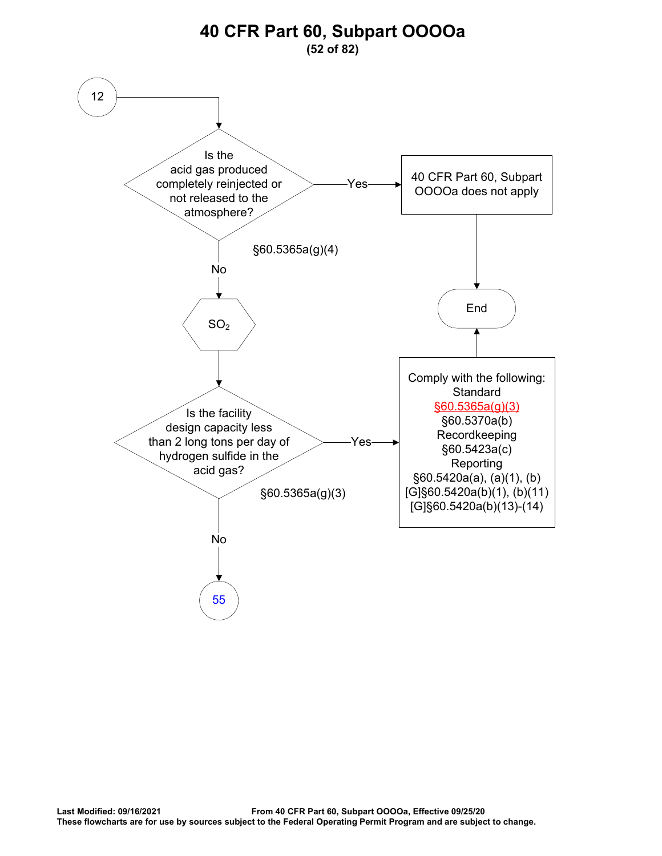**(52 of 82)**

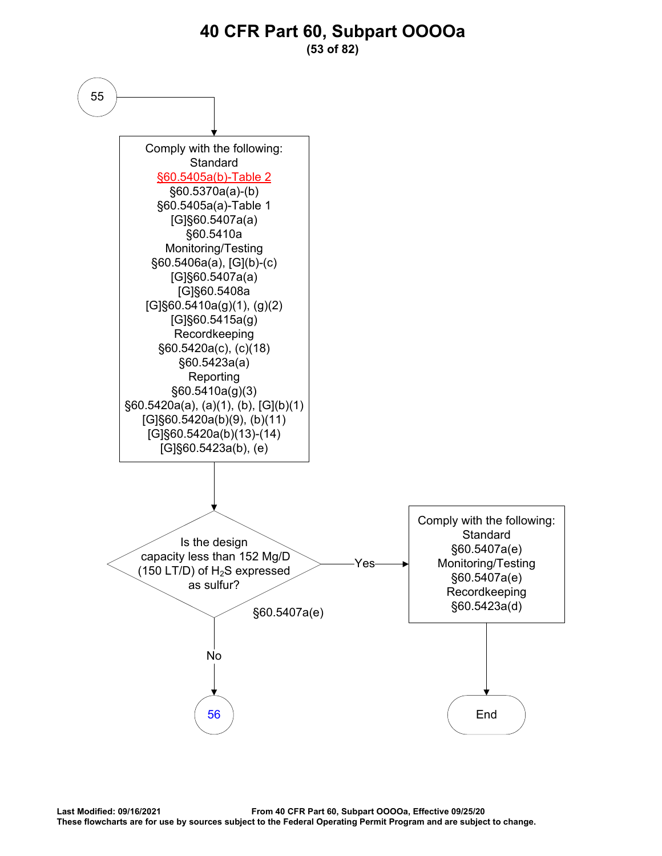**(53 of 82)**

<span id="page-52-0"></span>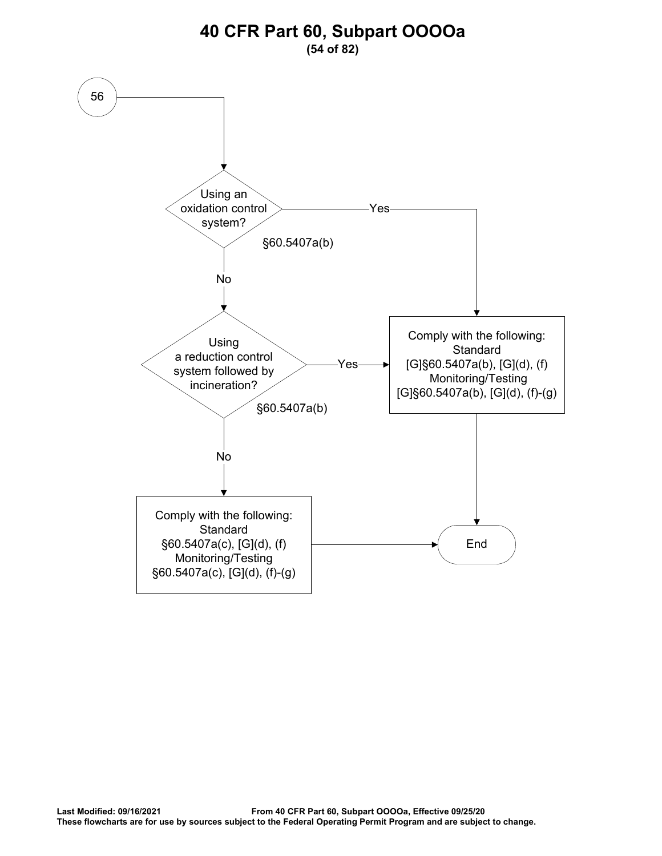#### **40 CFR Part 60, Subpart OOOOa (54 of 82)**

<span id="page-53-0"></span>56 Using an oxidation control system? Using a reduction control system followed by incineration? Comply with the following: Standard [G]§60.5407a(b), [G](d), (f) Monitoring/Testing [G]§60.5407a(b), [G](d), (f)-(g) No Yes Yes No Comply with the following: **Standard** §60.5407a(c), [G](d), (f) Monitoring/Testing §60.5407a(c), [G](d), (f)-(g) End §60.5407a(b) §60.5407a(b)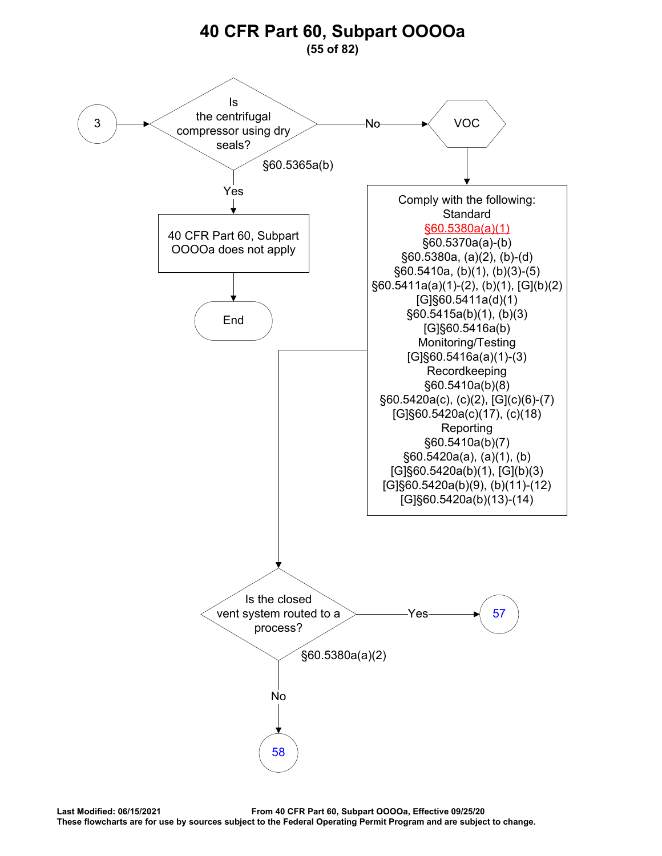**(55 of 82)**

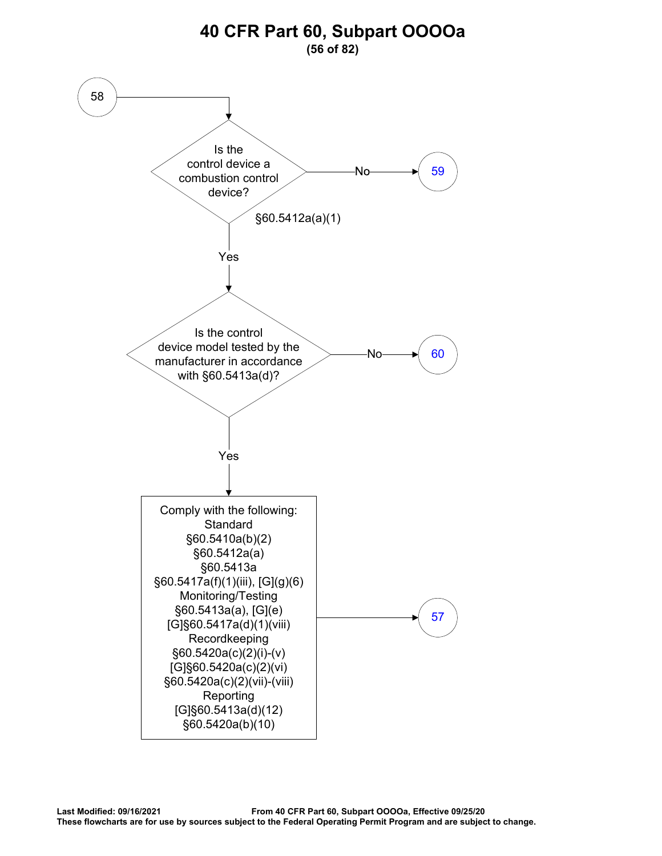### **40 CFR Part 60, Subpart OOOOa (56 of 82)**

<span id="page-55-0"></span>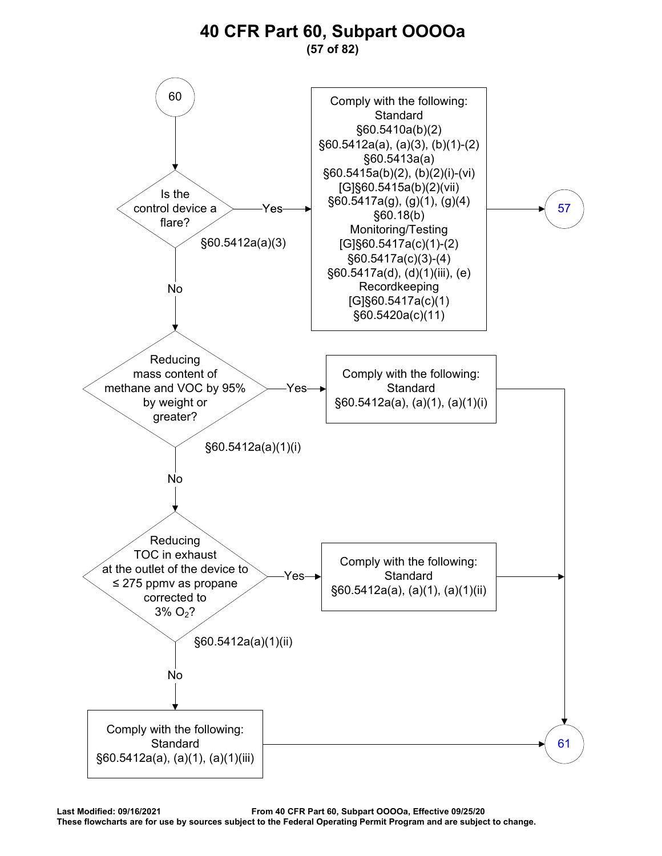#### **40 CFR Part 60, Subpart OOOOa (57 of 82)**

<span id="page-56-0"></span>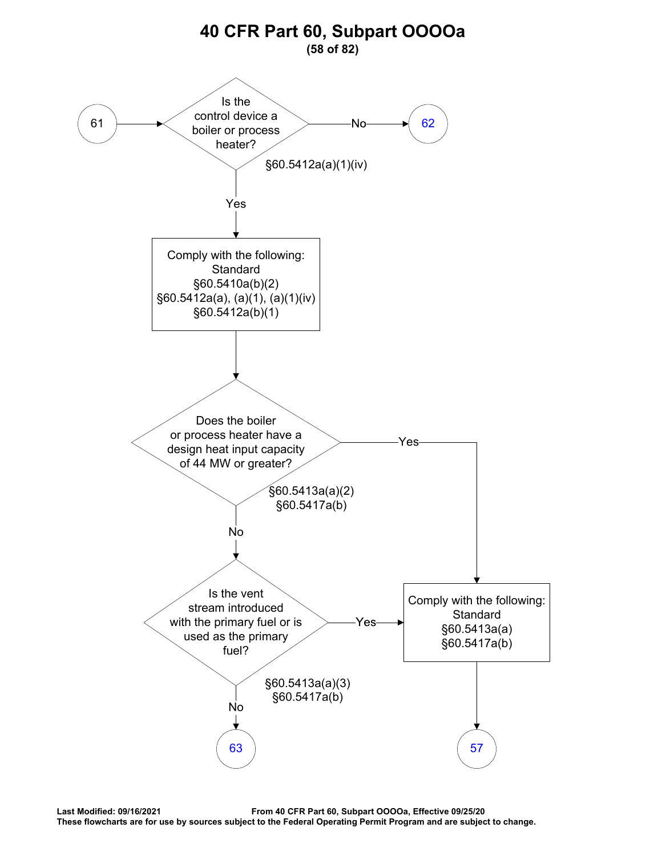**(58 of 82)**

<span id="page-57-0"></span>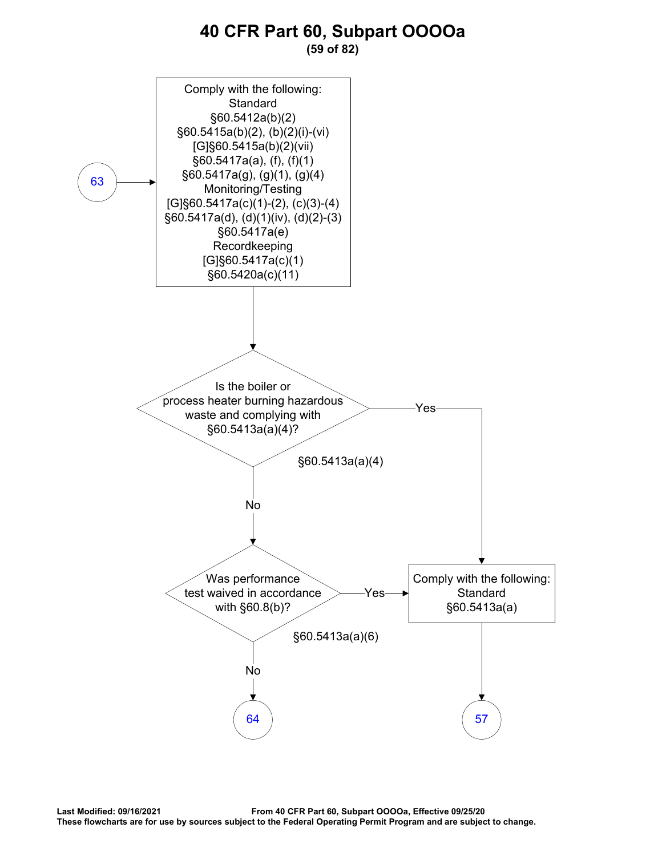**(59 of 82)**

<span id="page-58-0"></span>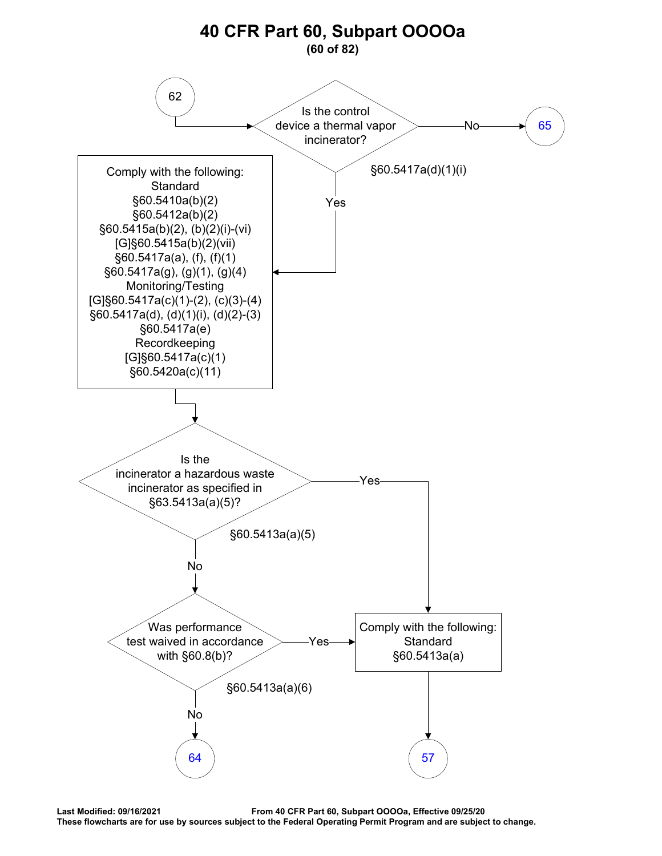<span id="page-59-0"></span>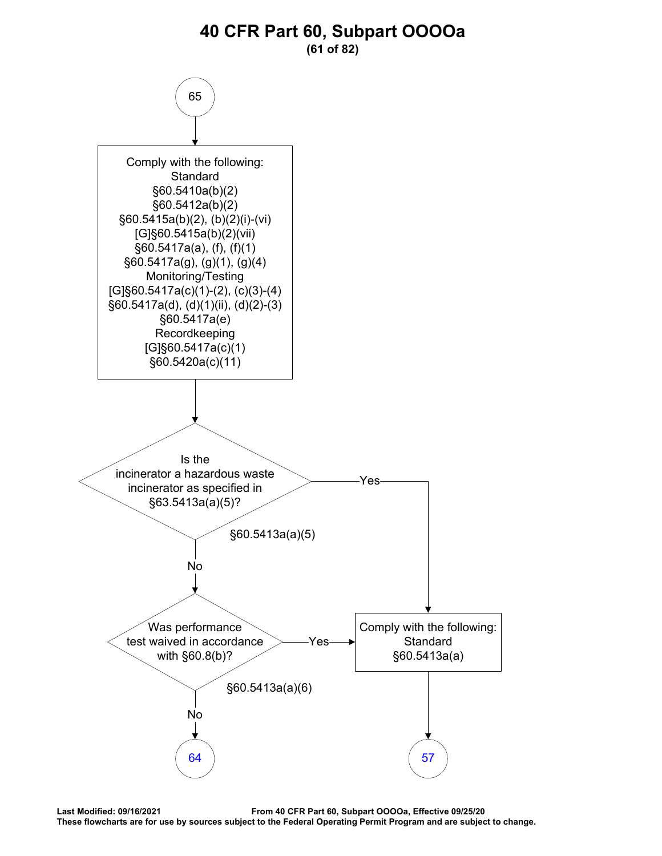**(61 of 82)**

<span id="page-60-0"></span>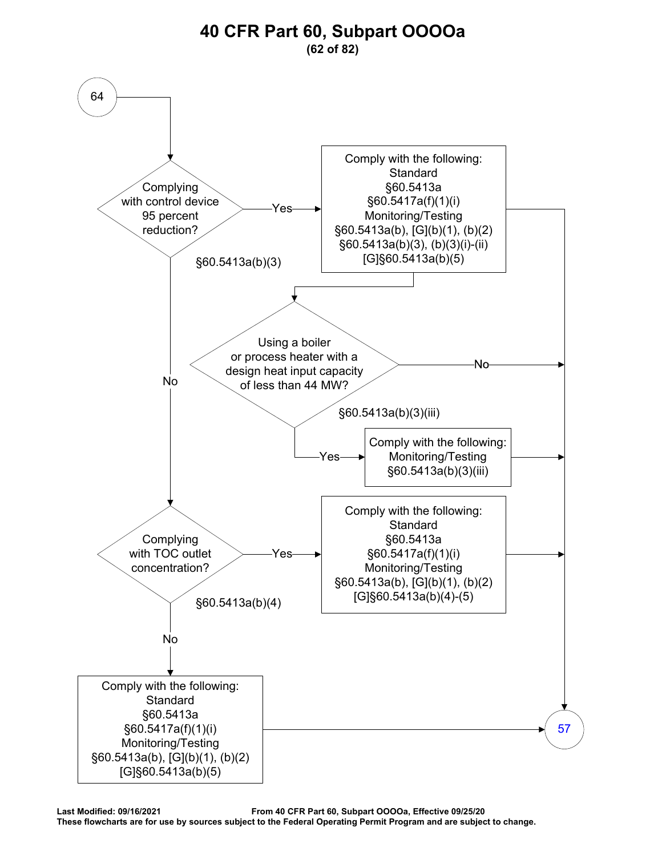<span id="page-61-0"></span>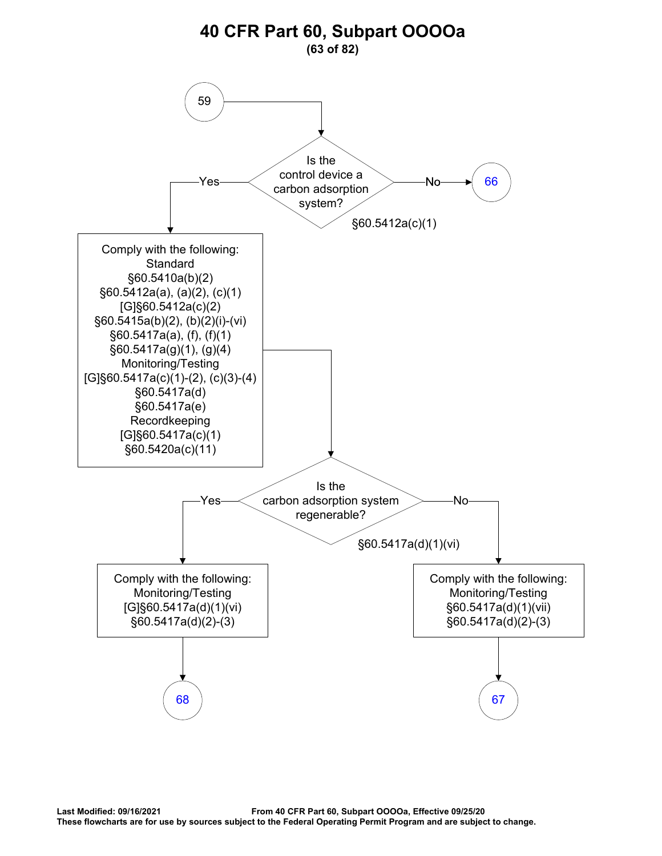<span id="page-62-0"></span>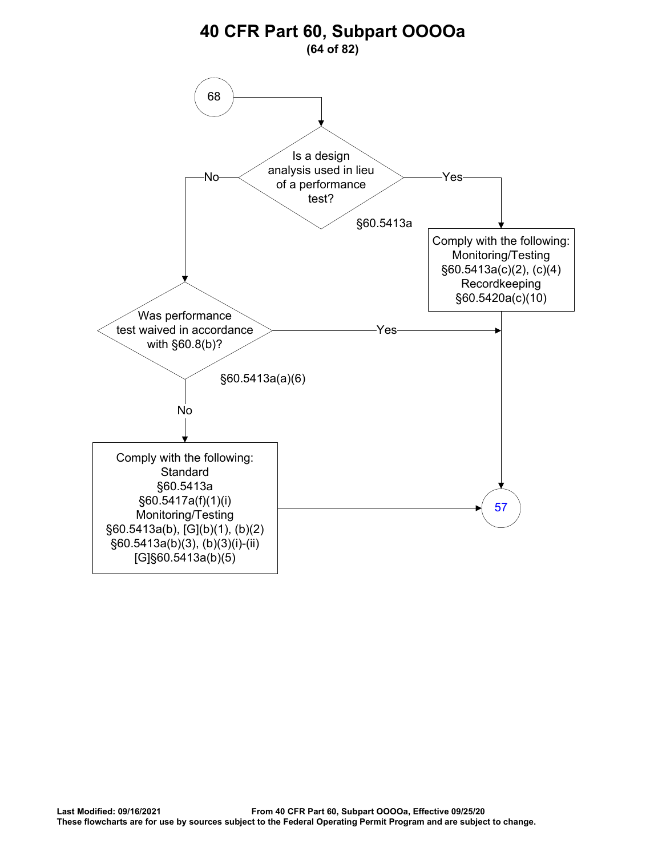<span id="page-63-0"></span>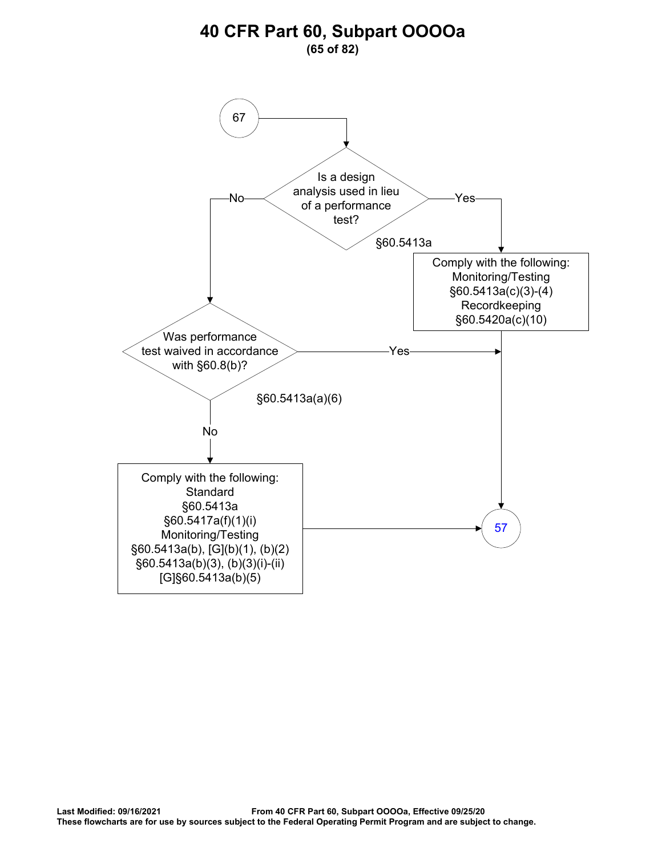**(65 of 82)**

<span id="page-64-0"></span>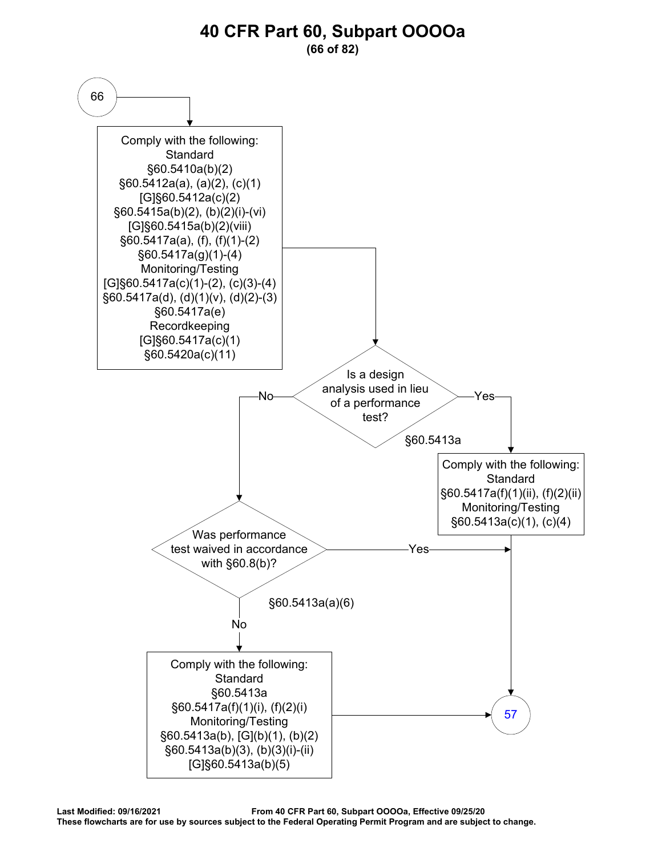

**(66 of 82)**

<span id="page-65-0"></span>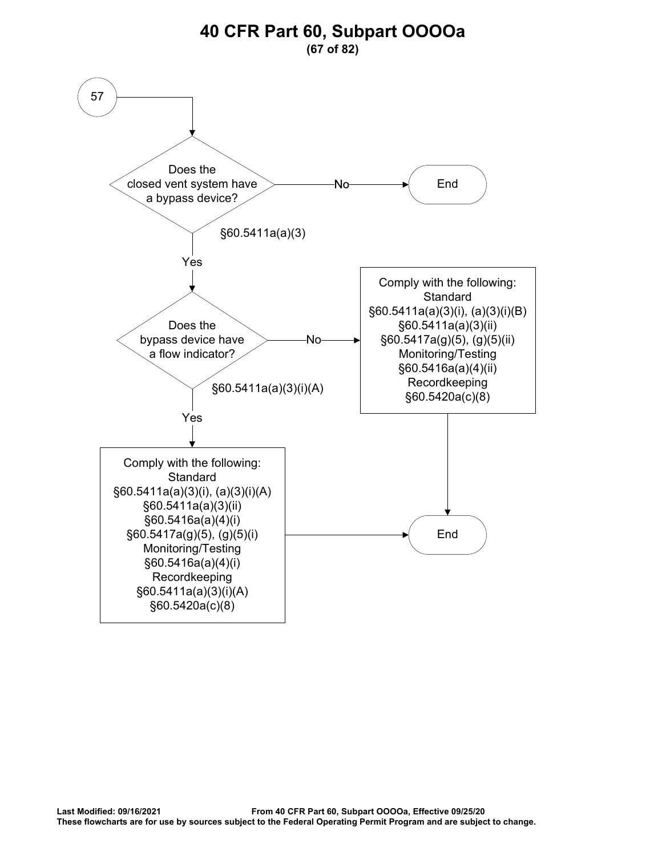#### **40 CFR Part 60, Subpart OOOOa (67 of 82)**

<span id="page-66-0"></span>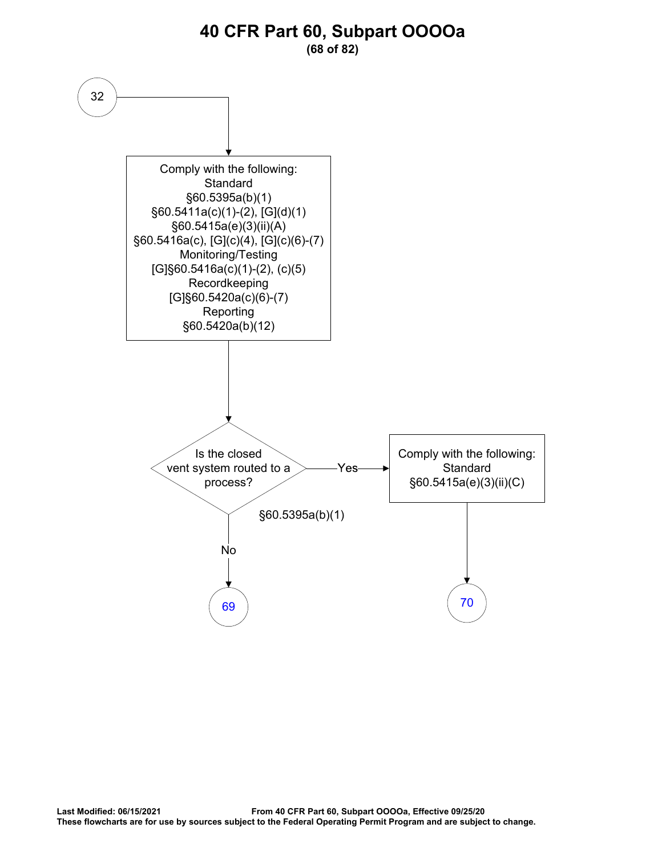**(68 of 82)**

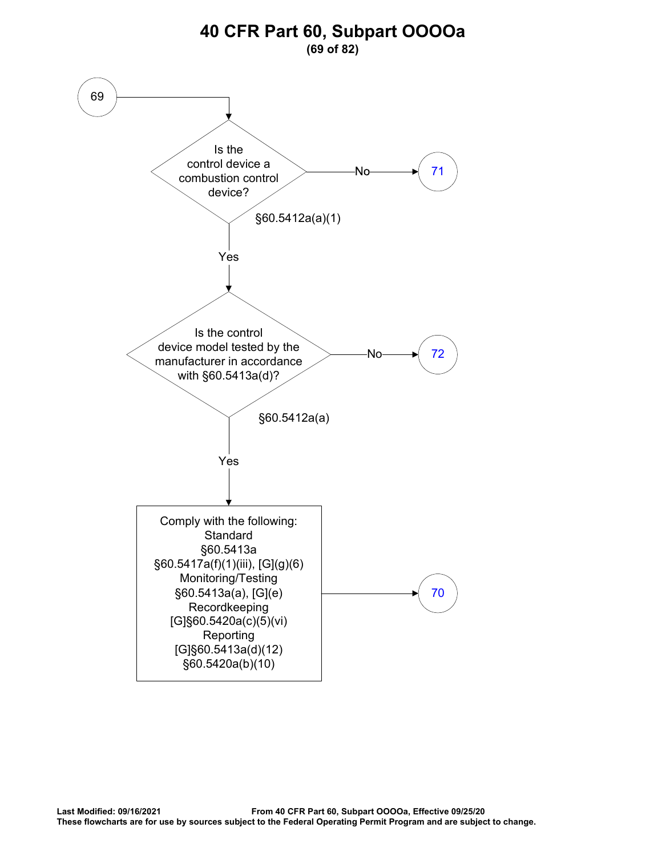#### **40 CFR Part 60, Subpart OOOOa (69 of 82)**

<span id="page-68-0"></span>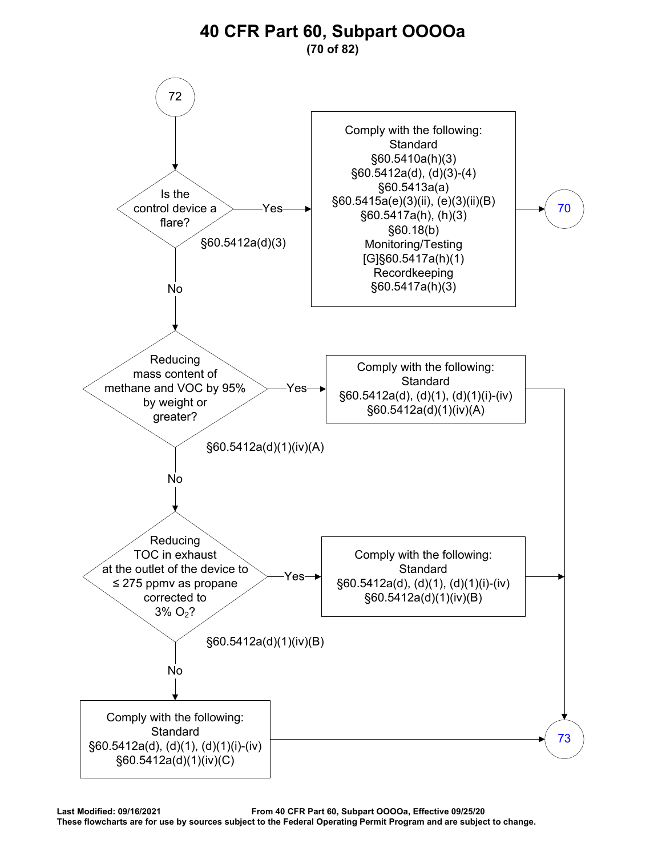**(70 of 82)**

<span id="page-69-0"></span>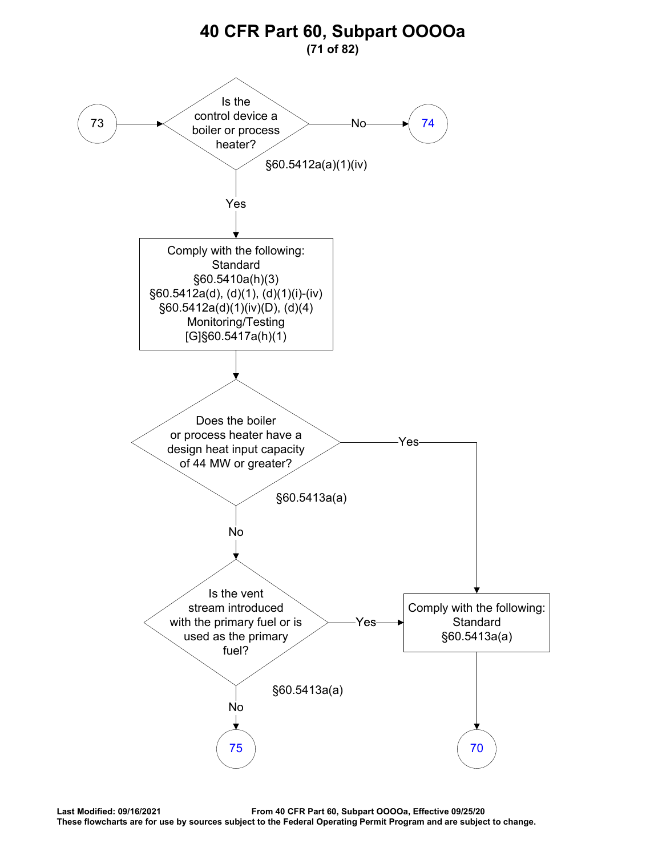### **40 CFR Part 60, Subpart OOOOa (71 of 82)**

<span id="page-70-0"></span>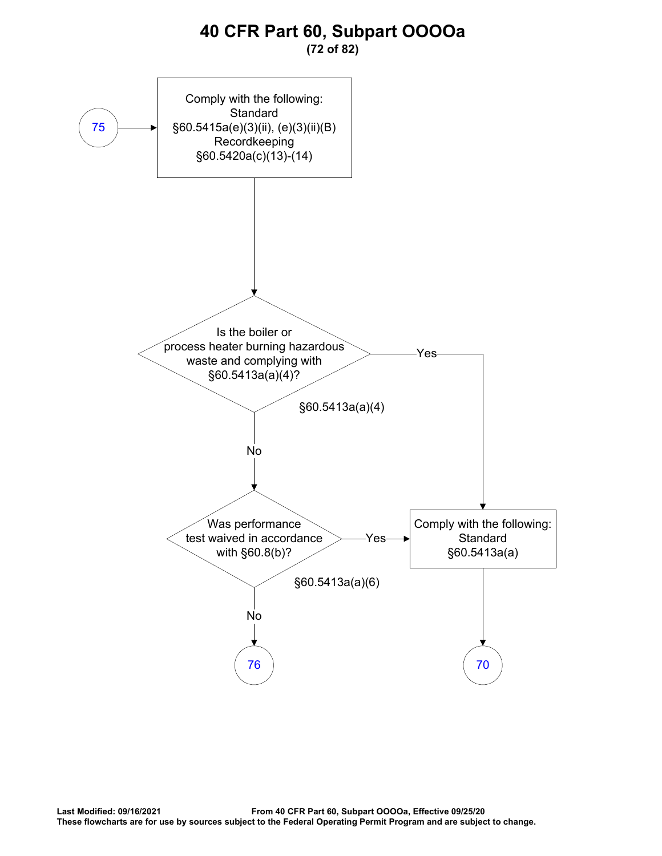### **40 CFR Part 60, Subpart OOOOa (72 of 82)**

<span id="page-71-0"></span>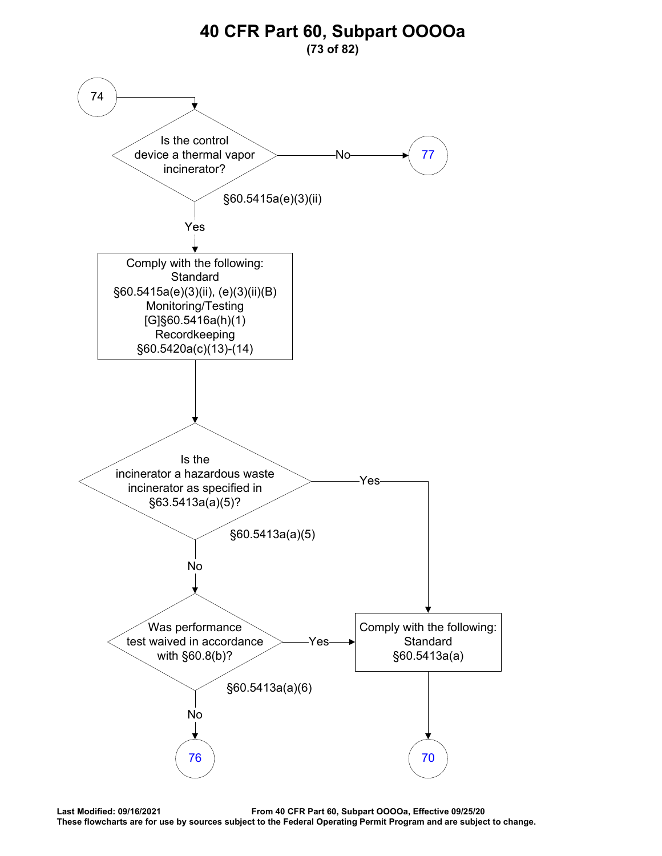#### **40 CFR Part 60, Subpart OOOOa (73 of 82)**

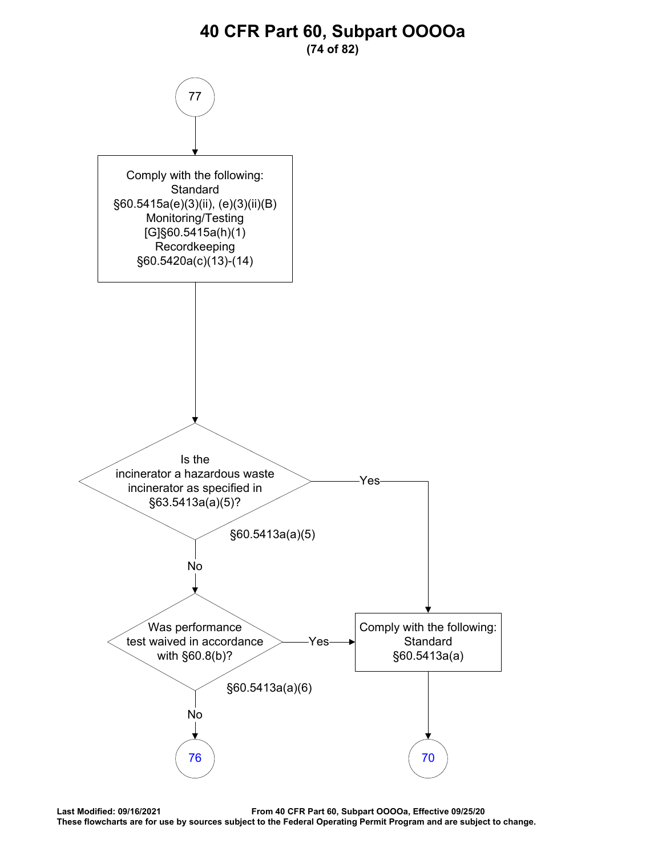### **40 CFR Part 60, Subpart OOOOa**

**(74 of 82)**

<span id="page-73-0"></span>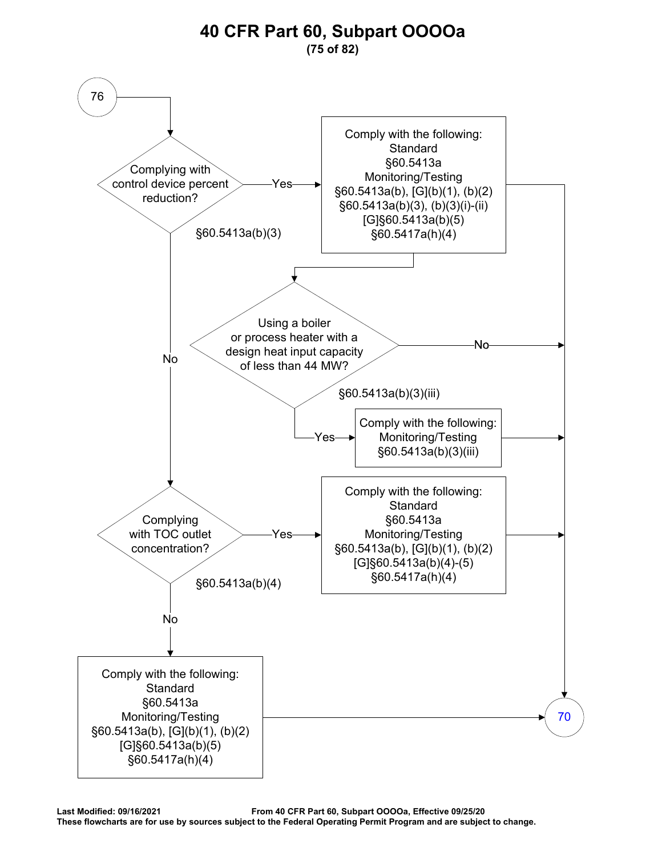#### **40 CFR Part 60, Subpart OOOOa (75 of 82)**

<span id="page-74-0"></span>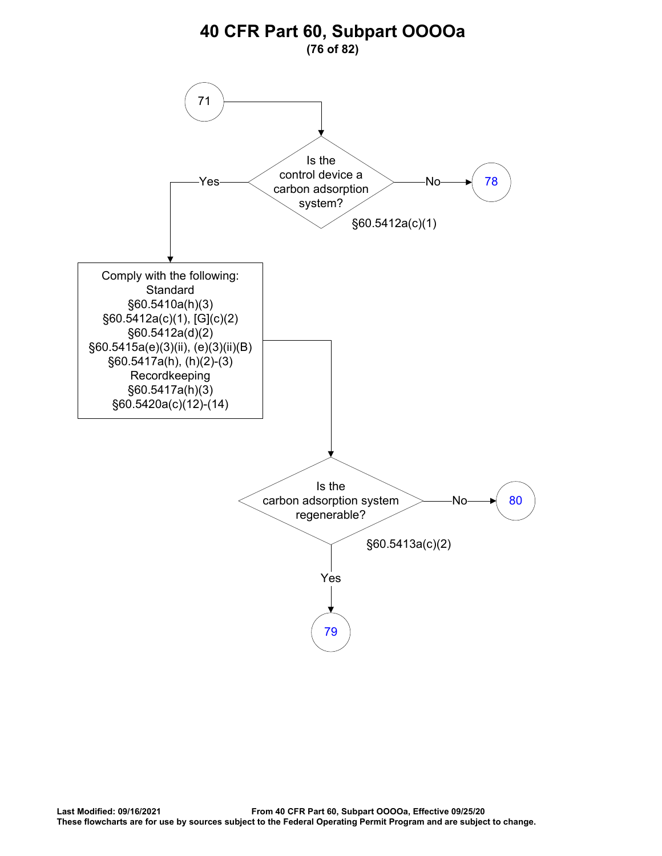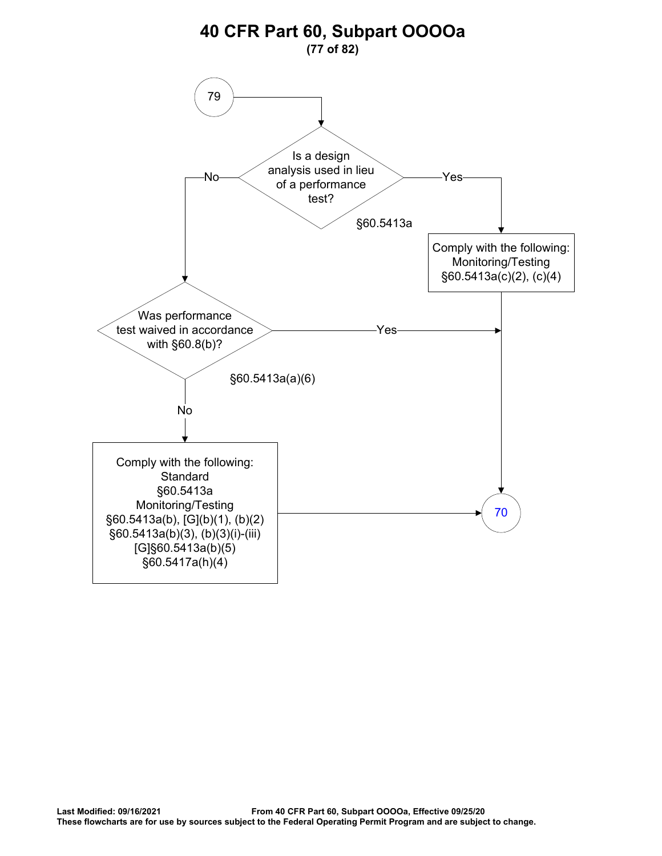<span id="page-76-0"></span>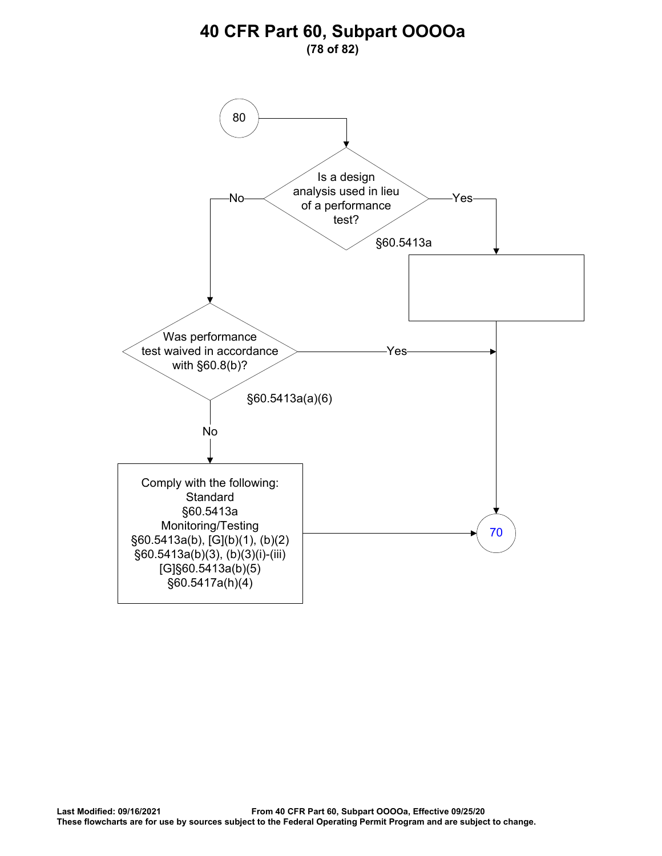#### **40 CFR Part 60, Subpart OOOOa (78 of 82)**

<span id="page-77-0"></span>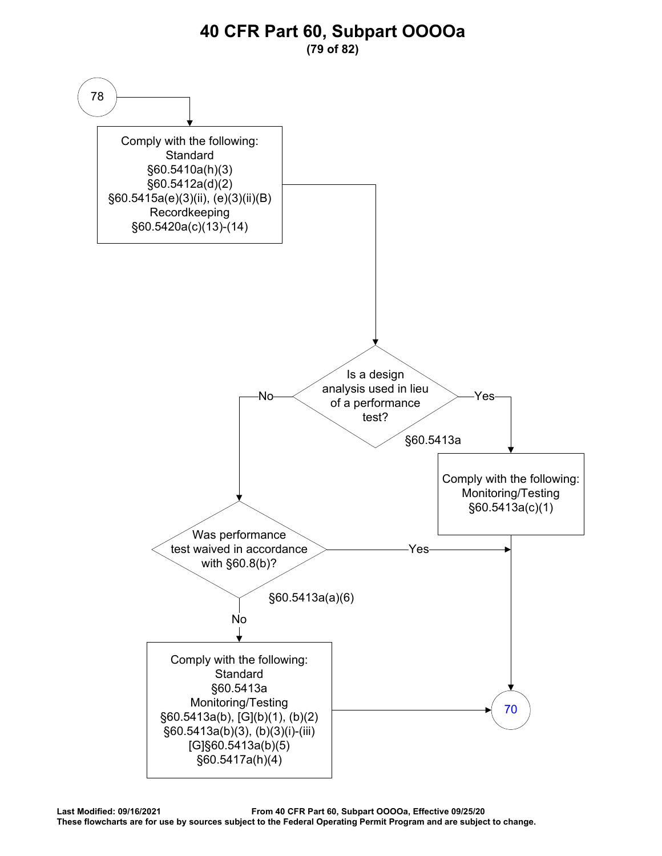

<span id="page-78-0"></span>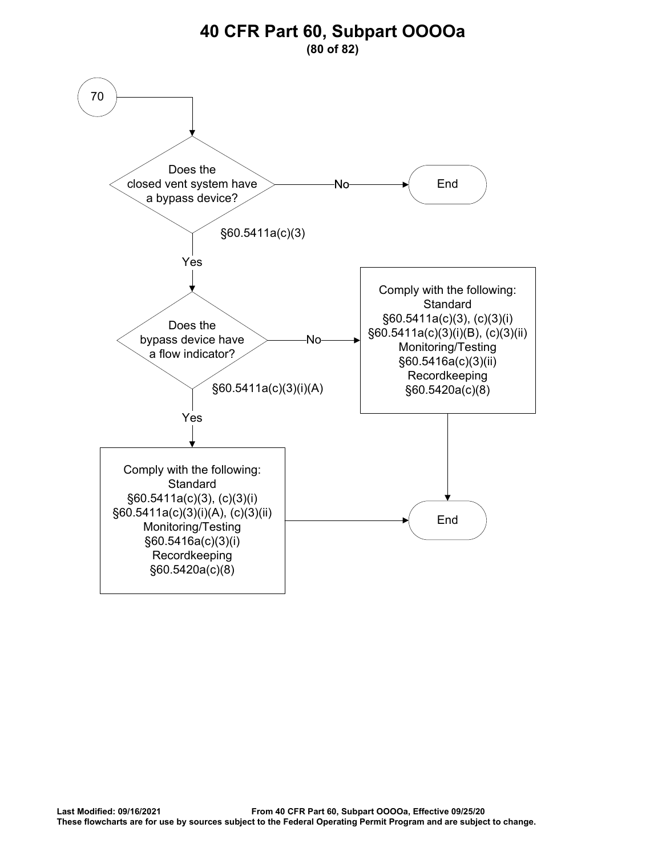# **40 CFR Part 60, Subpart OOOOa**

**(80 of 82)**

<span id="page-79-0"></span>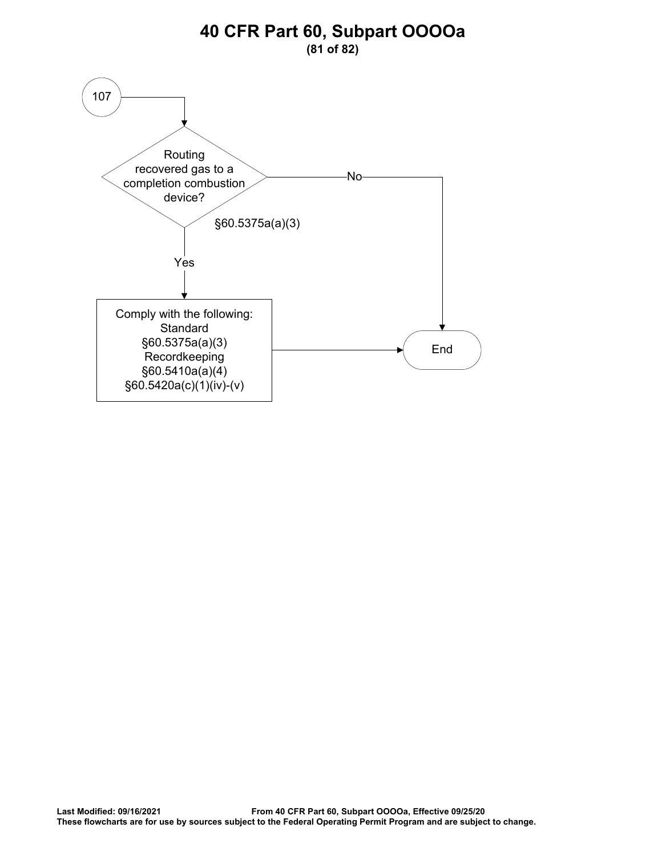## **40 CFR Part 60, Subpart OOOOa**